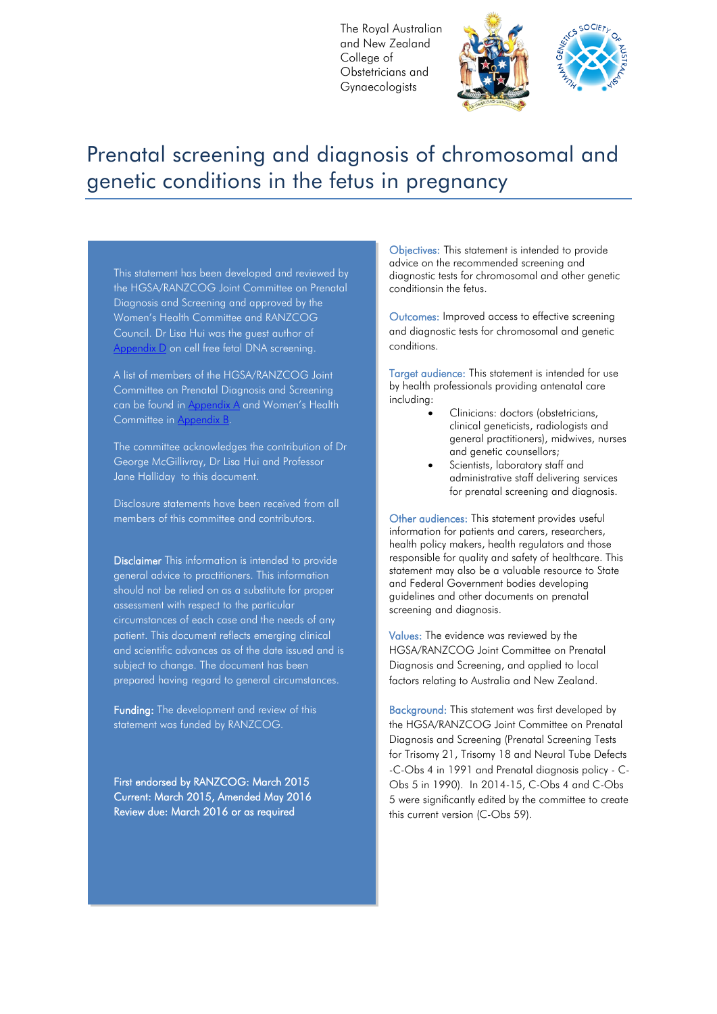The Royal Australian and New Zealand College of Obstetricians and Gynaecologists



# Prenatal screening and diagnosis of chromosomal and genetic conditions in the fetus in pregnancy

This statement has been developed and reviewed by the HGSA/RANZCOG Joint Committee on Prenatal Diagnosis and Screening and approved by the Women's Health Committee and RANZCOG Council. Dr Lisa Hui was the guest author of Appendix D on cell free fetal DNA screening.

A list of members of the HGSA/RANZCOG Joint Committee on Prenatal Diagnosis and Screening can be found in Appendix A and Women's Health Committee in Appendix

The committee acknowledges the contribution of Dr George McGillivray, Dr Lisa Hui and Professor Jane Halliday to this document.

Disclosure statements have been received from all members of this committee and contributors.

Disclaimer This information is intended to provide general advice to practitioners. This information should not be relied on as a substitute for proper assessment with respect to the particular circumstances of each case and the needs of any patient. This document reflects emerging clinical and scientific advances as of the date issued and is subject to change. The document has been prepared having regard to general circumstances.

Funding: The development and review of this statement was funded by RANZCOG.

First endorsed by RANZCOG: March 2015 Current: March 2015, Amended May 2016 Review due: March 2016 or as required

Objectives: This statement is intended to provide advice on the recommended screening and diagnostic tests for chromosomal and other genetic conditionsin the fetus.

Outcomes: Improved access to effective screening and diagnostic tests for chromosomal and genetic conditions.

Target audience: This statement is intended for use by health professionals providing antenatal care including:

- Clinicians: doctors (obstetricians, clinical geneticists, radiologists and general practitioners), midwives, nurses and genetic counsellors;
- Scientists, laboratory staff and administrative staff delivering services for prenatal screening and diagnosis.

Other audiences: This statement provides useful information for patients and carers, researchers, health policy makers, health regulators and those responsible for quality and safety of healthcare. This statement may also be a valuable resource to State and Federal Government bodies developing guidelines and other documents on prenatal screening and diagnosis.

Values: The evidence was reviewed by the HGSA/RANZCOG Joint Committee on Prenatal Diagnosis and Screening, and applied to local factors relating to Australia and New Zealand.

Background: This statement was first developed by the HGSA/RANZCOG Joint Committee on Prenatal Diagnosis and Screening (Prenatal Screening Tests for Trisomy 21, Trisomy 18 and Neural Tube Defects -C-Obs 4 in 1991 and Prenatal diagnosis policy - C-Obs 5 in 1990). In 2014-15, C-Obs 4 and C-Obs 5 were significantly edited by the committee to create this current version (C-Obs 59).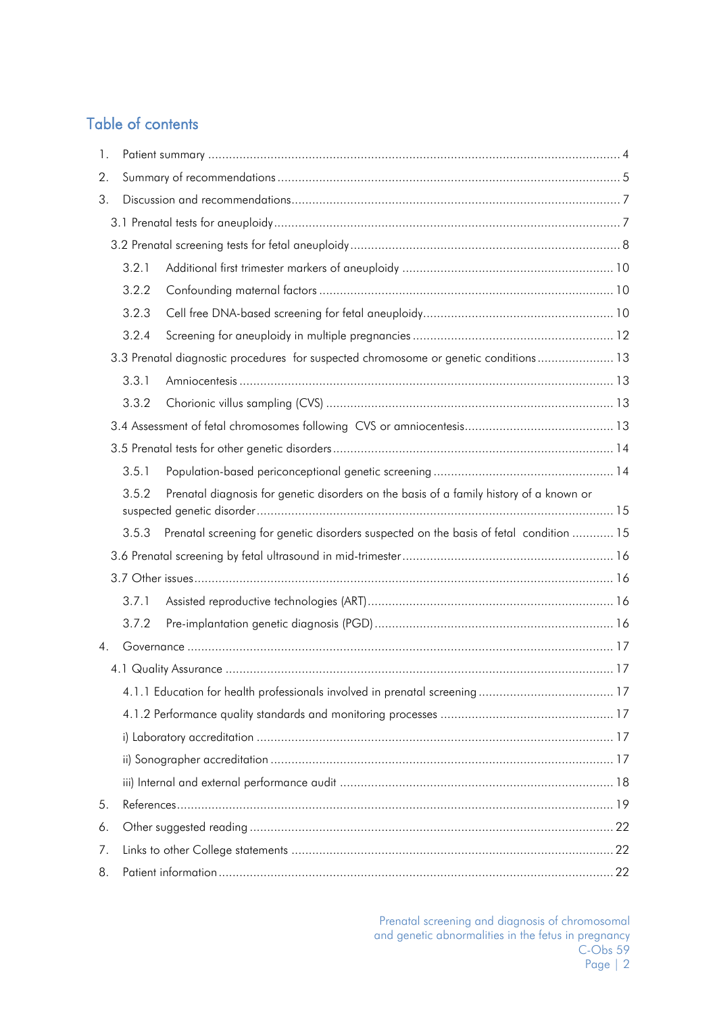# Table of contents

| 1.             |       |                                                                                         |  |
|----------------|-------|-----------------------------------------------------------------------------------------|--|
| 2.             |       |                                                                                         |  |
| 3.             |       |                                                                                         |  |
|                |       |                                                                                         |  |
|                |       |                                                                                         |  |
|                | 3.2.1 |                                                                                         |  |
|                | 3.2.2 |                                                                                         |  |
|                | 3.2.3 |                                                                                         |  |
|                | 3.2.4 |                                                                                         |  |
|                |       | 3.3 Prenatal diagnostic procedures for suspected chromosome or genetic conditions 13    |  |
|                | 3.3.1 |                                                                                         |  |
|                | 3.3.2 |                                                                                         |  |
|                |       |                                                                                         |  |
|                |       |                                                                                         |  |
|                | 3.5.1 |                                                                                         |  |
|                | 3.5.2 | Prenatal diagnosis for genetic disorders on the basis of a family history of a known or |  |
|                |       |                                                                                         |  |
|                | 3.5.3 | Prenatal screening for genetic disorders suspected on the basis of fetal condition  15  |  |
|                |       |                                                                                         |  |
|                |       |                                                                                         |  |
|                | 3.7.1 |                                                                                         |  |
|                | 3.7.2 |                                                                                         |  |
| 4 <sub>1</sub> |       |                                                                                         |  |
|                |       |                                                                                         |  |
|                |       |                                                                                         |  |
|                |       |                                                                                         |  |
|                |       |                                                                                         |  |
|                |       |                                                                                         |  |
|                |       |                                                                                         |  |
| 5.             |       |                                                                                         |  |
| 6.             |       |                                                                                         |  |
| 7.             |       |                                                                                         |  |
| 8.             |       |                                                                                         |  |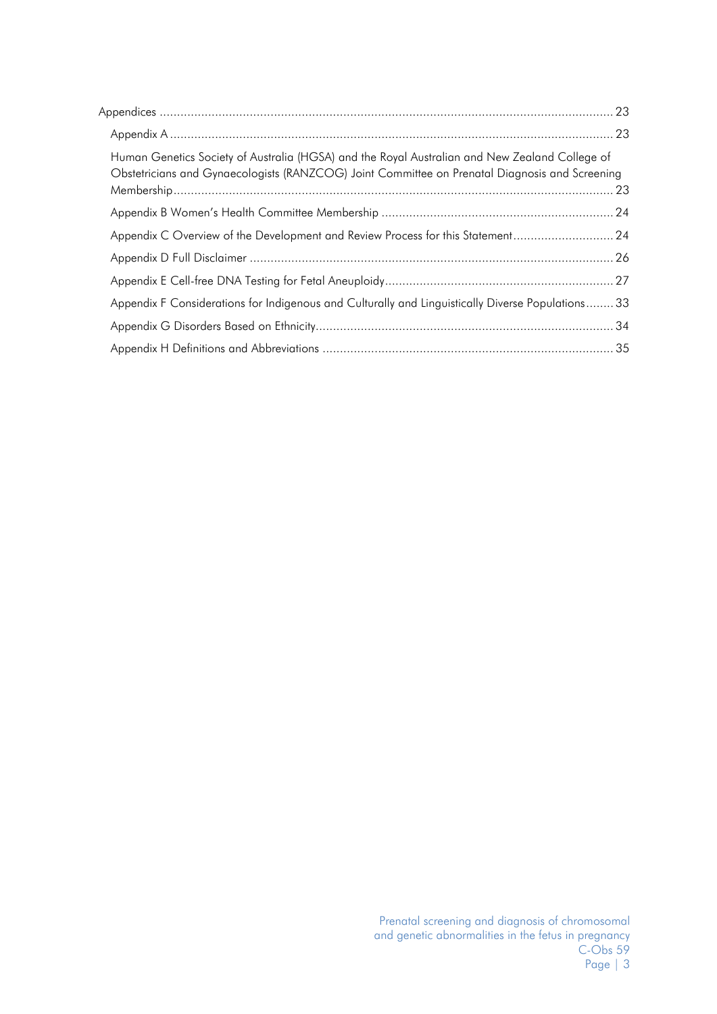| Human Genetics Society of Australia (HGSA) and the Royal Australian and New Zealand College of<br>Obstetricians and Gynaecologists (RANZCOG) Joint Committee on Prenatal Diagnosis and Screening |  |
|--------------------------------------------------------------------------------------------------------------------------------------------------------------------------------------------------|--|
|                                                                                                                                                                                                  |  |
| Appendix C Overview of the Development and Review Process for this Statement 24                                                                                                                  |  |
|                                                                                                                                                                                                  |  |
|                                                                                                                                                                                                  |  |
| Appendix F Considerations for Indigenous and Culturally and Linguistically Diverse Populations33                                                                                                 |  |
|                                                                                                                                                                                                  |  |
|                                                                                                                                                                                                  |  |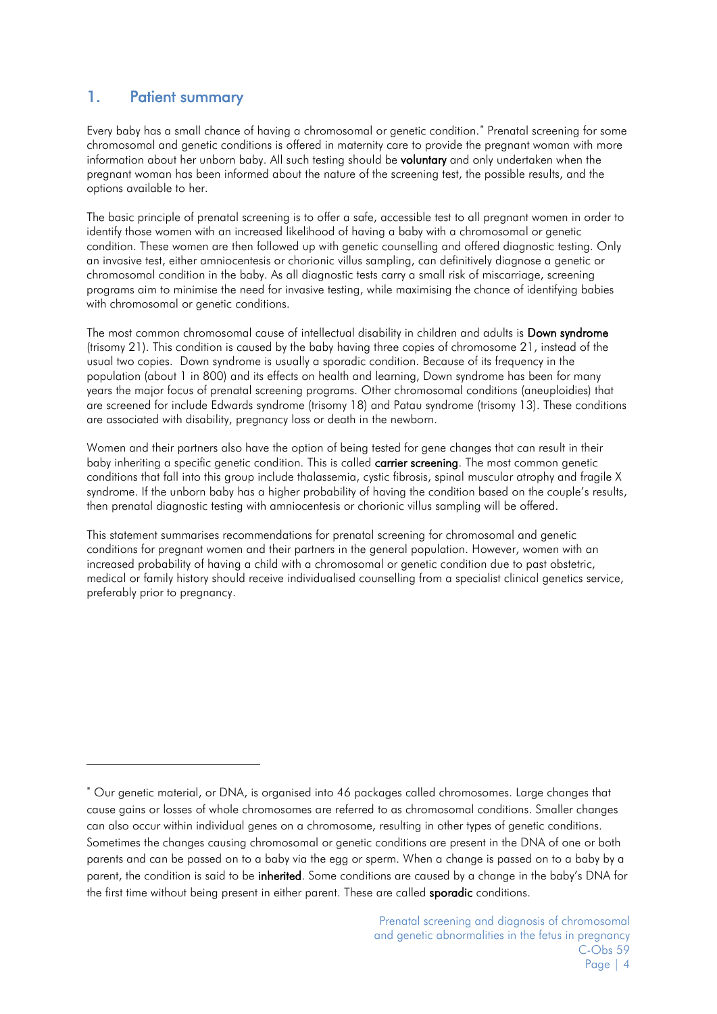# <span id="page-3-0"></span>1. Patient summary

-

Every baby has a small chance of having a chromosomal or genetic condition. [∗](#page-3-1) Prenatal screening for some chromosomal and genetic conditions is offered in maternity care to provide the pregnant woman with more information about her unborn baby. All such testing should be **voluntary** and only undertaken when the pregnant woman has been informed about the nature of the screening test, the possible results, and the options available to her.

The basic principle of prenatal screening is to offer a safe, accessible test to all pregnant women in order to identify those women with an increased likelihood of having a baby with a chromosomal or genetic condition. These women are then followed up with genetic counselling and offered diagnostic testing. Only an invasive test, either amniocentesis or chorionic villus sampling, can definitively diagnose a genetic or chromosomal condition in the baby. As all diagnostic tests carry a small risk of miscarriage, screening programs aim to minimise the need for invasive testing, while maximising the chance of identifying babies with chromosomal or genetic conditions.

The most common chromosomal cause of intellectual disability in children and adults is Down syndrome (trisomy 21). This condition is caused by the baby having three copies of chromosome 21, instead of the usual two copies. Down syndrome is usually a sporadic condition. Because of its frequency in the population (about 1 in 800) and its effects on health and learning, Down syndrome has been for many years the major focus of prenatal screening programs. Other chromosomal conditions (aneuploidies) that are screened for include Edwards syndrome (trisomy 18) and Patau syndrome (trisomy 13). These conditions are associated with disability, pregnancy loss or death in the newborn.

Women and their partners also have the option of being tested for gene changes that can result in their baby inheriting a specific genetic condition. This is called **carrier screening**. The most common genetic conditions that fall into this group include thalassemia, cystic fibrosis, spinal muscular atrophy and fragile X syndrome. If the unborn baby has a higher probability of having the condition based on the couple's results, then prenatal diagnostic testing with amniocentesis or chorionic villus sampling will be offered.

This statement summarises recommendations for prenatal screening for chromosomal and genetic conditions for pregnant women and their partners in the general population. However, women with an increased probability of having a child with a chromosomal or genetic condition due to past obstetric, medical or family history should receive individualised counselling from a specialist clinical genetics service, preferably prior to pregnancy.

<span id="page-3-1"></span><sup>∗</sup> Our genetic material, or DNA, is organised into 46 packages called chromosomes. Large changes that cause gains or losses of whole chromosomes are referred to as chromosomal conditions. Smaller changes can also occur within individual genes on a chromosome, resulting in other types of genetic conditions. Sometimes the changes causing chromosomal or genetic conditions are present in the DNA of one or both parents and can be passed on to a baby via the egg or sperm. When a change is passed on to a baby by a parent, the condition is said to be inherited. Some conditions are caused by a change in the baby's DNA for the first time without being present in either parent. These are called **sporadic** conditions.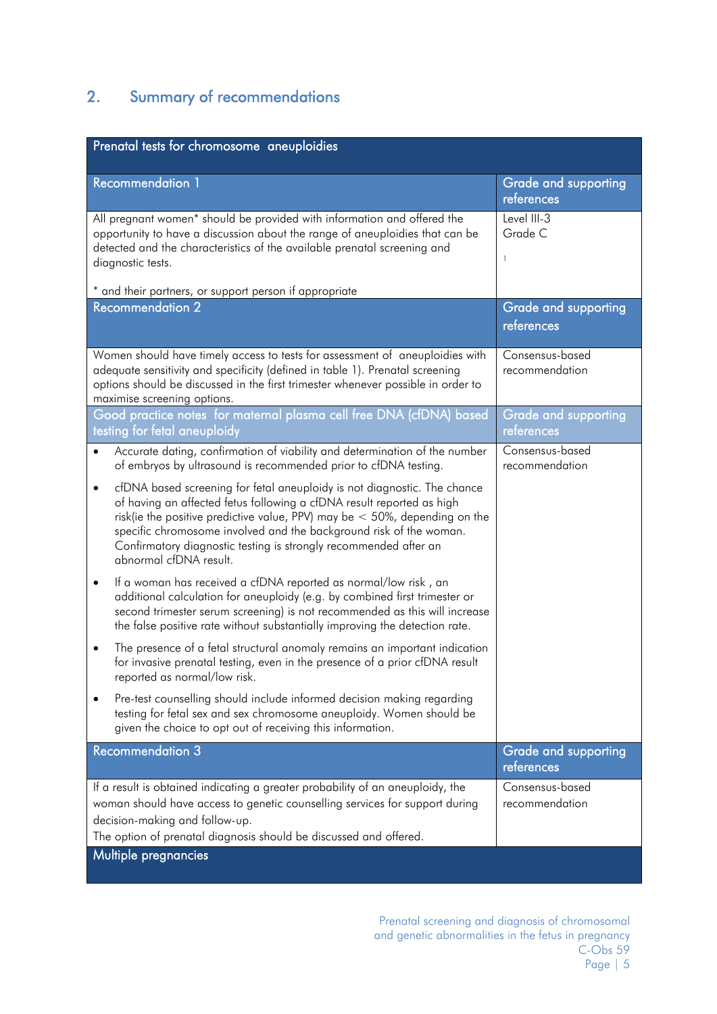# <span id="page-4-0"></span>2. Summary of recommendations

| Prenatal tests for chromosome aneuploidies                                                                                                                                                                                                                                                                                                                                                                         |                                                    |
|--------------------------------------------------------------------------------------------------------------------------------------------------------------------------------------------------------------------------------------------------------------------------------------------------------------------------------------------------------------------------------------------------------------------|----------------------------------------------------|
| <b>Recommendation 1</b>                                                                                                                                                                                                                                                                                                                                                                                            | <b>Grade and supporting</b><br>references          |
| All pregnant women* should be provided with information and offered the<br>opportunity to have a discussion about the range of aneuploidies that can be<br>detected and the characteristics of the available prenatal screening and<br>diagnostic tests.                                                                                                                                                           | Level III-3<br>Grade C<br>$\overline{\phantom{a}}$ |
| * and their partners, or support person if appropriate<br><b>Recommendation 2</b>                                                                                                                                                                                                                                                                                                                                  |                                                    |
|                                                                                                                                                                                                                                                                                                                                                                                                                    | <b>Grade and supporting</b><br>references          |
| Women should have timely access to tests for assessment of aneuploidies with<br>adequate sensitivity and specificity (defined in table 1). Prenatal screening<br>options should be discussed in the first trimester whenever possible in order to<br>maximise screening options.                                                                                                                                   | Consensus-based<br>recommendation                  |
| Good practice notes for maternal plasma cell free DNA (cfDNA) based<br>testing for fetal aneuploidy                                                                                                                                                                                                                                                                                                                | <b>Grade and supporting</b><br>references          |
| Accurate dating, confirmation of viability and determination of the number<br>$\bullet$<br>of embryos by ultrasound is recommended prior to cfDNA testing.                                                                                                                                                                                                                                                         | Consensus-based<br>recommendation                  |
| cfDNA based screening for fetal aneuploidy is not diagnostic. The chance<br>$\bullet$<br>of having an affected fetus following a cfDNA result reported as high<br>risk(ie the positive predictive value, PPV) may be $<$ 50%, depending on the<br>specific chromosome involved and the background risk of the woman.<br>Confirmatory diagnostic testing is strongly recommended after an<br>abnormal cfDNA result. |                                                    |
| If a woman has received a cfDNA reported as normal/low risk, an<br>$\bullet$<br>additional calculation for aneuploidy (e.g. by combined first trimester or<br>second trimester serum screening) is not recommended as this will increase<br>the false positive rate without substantially improving the detection rate.                                                                                            |                                                    |
| The presence of a fetal structural anomaly remains an important indication<br>$\bullet$<br>for invasive prenatal testing, even in the presence of a prior cfDNA result<br>reported as normal/low risk.                                                                                                                                                                                                             |                                                    |
| Pre-test counselling should include informed decision making regarding<br>$\bullet$<br>testing for fetal sex and sex chromosome aneuploidy. Women should be<br>given the choice to opt out of receiving this information.                                                                                                                                                                                          |                                                    |
| <b>Recommendation 3</b>                                                                                                                                                                                                                                                                                                                                                                                            | <b>Grade and supporting</b><br>references          |
| If a result is obtained indicating a greater probability of an aneuploidy, the                                                                                                                                                                                                                                                                                                                                     | Consensus-based                                    |
| woman should have access to genetic counselling services for support during                                                                                                                                                                                                                                                                                                                                        | recommendation                                     |
| decision-making and follow-up.                                                                                                                                                                                                                                                                                                                                                                                     |                                                    |
| The option of prenatal diagnosis should be discussed and offered.                                                                                                                                                                                                                                                                                                                                                  |                                                    |
| Multiple pregnancies                                                                                                                                                                                                                                                                                                                                                                                               |                                                    |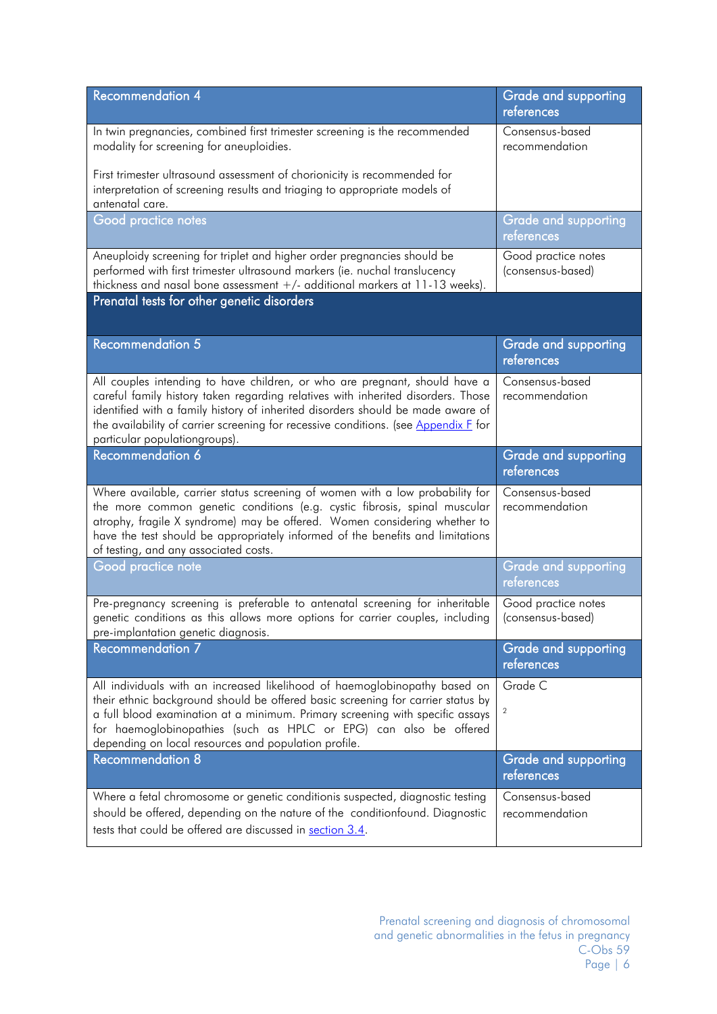| <b>Recommendation 4</b>                                                                                                                                                                                                                                                                                                                                                     | <b>Grade and supporting</b><br>references |
|-----------------------------------------------------------------------------------------------------------------------------------------------------------------------------------------------------------------------------------------------------------------------------------------------------------------------------------------------------------------------------|-------------------------------------------|
| In twin pregnancies, combined first trimester screening is the recommended<br>modality for screening for aneuploidies.                                                                                                                                                                                                                                                      | Consensus-based<br>recommendation         |
| First trimester ultrasound assessment of chorionicity is recommended for<br>interpretation of screening results and triaging to appropriate models of<br>antenatal care.                                                                                                                                                                                                    |                                           |
| Good practice notes                                                                                                                                                                                                                                                                                                                                                         | <b>Grade and supporting</b><br>references |
| Aneuploidy screening for triplet and higher order pregnancies should be<br>performed with first trimester ultrasound markers (ie. nuchal translucency<br>thickness and nasal bone assessment +/- additional markers at 11-13 weeks).                                                                                                                                        | Good practice notes<br>(consensus-based)  |
| Prenatal tests for other genetic disorders                                                                                                                                                                                                                                                                                                                                  |                                           |
| <b>Recommendation 5</b>                                                                                                                                                                                                                                                                                                                                                     | <b>Grade and supporting</b><br>references |
| All couples intending to have children, or who are pregnant, should have a<br>careful family history taken regarding relatives with inherited disorders. Those<br>identified with a family history of inherited disorders should be made aware of<br>the availability of carrier screening for recessive conditions. (see Appendix F for<br>particular populationgroups).   | Consensus-based<br>recommendation         |
| Recommendation 6                                                                                                                                                                                                                                                                                                                                                            | <b>Grade and supporting</b><br>references |
| Where available, carrier status screening of women with a low probability for<br>the more common genetic conditions (e.g. cystic fibrosis, spinal muscular<br>atrophy, fragile X syndrome) may be offered. Women considering whether to<br>have the test should be appropriately informed of the benefits and limitations<br>of testing, and any associated costs.          | Consensus-based<br>recommendation         |
| Good practice note                                                                                                                                                                                                                                                                                                                                                          | <b>Grade and supporting</b><br>references |
| Pre-pregnancy screening is preferable to antenatal screening for inheritable<br>genetic conditions as this allows more options for carrier couples, including<br>pre-implantation genetic diagnosis.                                                                                                                                                                        | Good practice notes<br>(consensus-based)  |
| <b>Recommendation 7</b>                                                                                                                                                                                                                                                                                                                                                     | <b>Grade and supporting</b><br>references |
| All individuals with an increased likelihood of haemoglobinopathy based on<br>their ethnic background should be offered basic screening for carrier status by<br>a full blood examination at a minimum. Primary screening with specific assays<br>for haemoglobinopathies (such as HPLC or EPG) can also be offered<br>depending on local resources and population profile. | Grade C<br>$\overline{c}$                 |
| <b>Recommendation 8</b>                                                                                                                                                                                                                                                                                                                                                     | <b>Grade and supporting</b><br>references |
| Where a fetal chromosome or genetic conditionis suspected, diagnostic testing<br>should be offered, depending on the nature of the conditionfound. Diagnostic<br>tests that could be offered are discussed in section 3.4.                                                                                                                                                  | Consensus-based<br>recommendation         |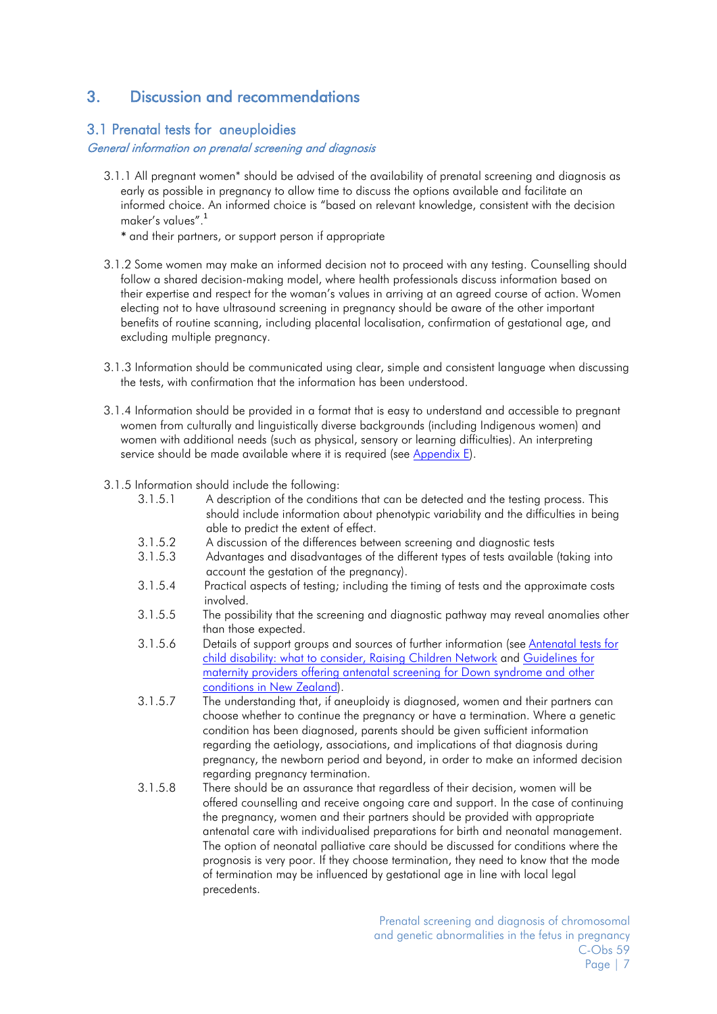# <span id="page-6-0"></span>3. Discussion and recommendations

### <span id="page-6-1"></span>3.1 Prenatal tests for aneuploidies

#### General information on prenatal screening and diagnosis

- 3.1.1 All pregnant women\* should be advised of the availability of prenatal screening and diagnosis as early as possible in pregnancy to allow time to discuss the options available and facilitate an informed choice. An informed choice is "based on relevant knowledge, consistent with the decision maker's values".[1](#page-18-1)
	- \* and their partners, or support person if appropriate
- 3.1.2 Some women may make an informed decision not to proceed with any testing. Counselling should follow a shared decision-making model, where health professionals discuss information based on their expertise and respect for the woman's values in arriving at an agreed course of action. Women electing not to have ultrasound screening in pregnancy should be aware of the other important benefits of routine scanning, including placental localisation, confirmation of gestational age, and excluding multiple pregnancy.
- 3.1.3 Information should be communicated using clear, simple and consistent language when discussing the tests, with confirmation that the information has been understood.
- 3.1.4 Information should be provided in a format that is easy to understand and accessible to pregnant women from culturally and linguistically diverse backgrounds (including Indigenous women) and women with additional needs (such as physical, sensory or learning difficulties). An interpreting service should be made available where it is required (see [Appendix E\)](#page-32-0).
- 3.1.5 Information should include the following:
	- 3.1.5.1 A description of the conditions that can be detected and the testing process. This should include information about phenotypic variability and the difficulties in being able to predict the extent of effect.
	- 3.1.5.2 A discussion of the differences between screening and diagnostic tests
	- 3.1.5.3 Advantages and disadvantages of the different types of tests available (taking into account the gestation of the pregnancy).
	- 3.1.5.4 Practical aspects of testing; including the timing of tests and the approximate costs involved.
	- 3.1.5.5 The possibility that the screening and diagnostic pathway may reveal anomalies other than those expected.
	- 3.1.5.6 Details of support groups and sources of further information (see [Antenatal tests for](http://raisingchildren.net.au/articles/disability_antenatal_tests.html/context/1295)  [child disability: what to consider, Raising Children Network](http://raisingchildren.net.au/articles/disability_antenatal_tests.html/context/1295) and [Guidelines for](https://www.nsu.govt.nz/files/ANNB/Guidelines_for_Maternity_Prov_web.pdf)  [maternity providers offering antenatal screening for Down syndrome and other](https://www.nsu.govt.nz/files/ANNB/Guidelines_for_Maternity_Prov_web.pdf)  [conditions in New Zealand\).](https://www.nsu.govt.nz/files/ANNB/Guidelines_for_Maternity_Prov_web.pdf)
	- 3.1.5.7 The understanding that, if aneuploidy is diagnosed, women and their partners can choose whether to continue the pregnancy or have a termination. Where a genetic condition has been diagnosed, parents should be given sufficient information regarding the aetiology, associations, and implications of that diagnosis during pregnancy, the newborn period and beyond, in order to make an informed decision regarding pregnancy termination.
	- 3.1.5.8 There should be an assurance that regardless of their decision, women will be offered counselling and receive ongoing care and support. In the case of continuing the pregnancy, women and their partners should be provided with appropriate antenatal care with individualised preparations for birth and neonatal management. The option of neonatal palliative care should be discussed for conditions where the prognosis is very poor. If they choose termination, they need to know that the mode of termination may be influenced by gestational age in line with local legal precedents.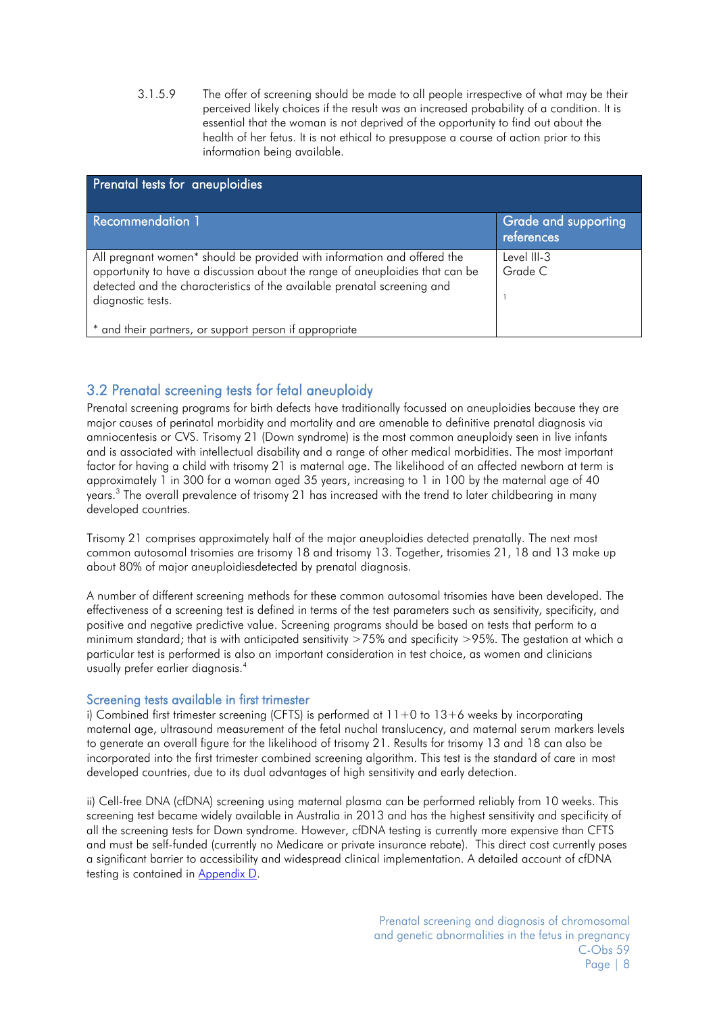3.1.5.9 The offer of screening should be made to all people irrespective of what may be their perceived likely choices if the result was an increased probability of a condition. It is essential that the woman is not deprived of the opportunity to find out about the health of her fetus. It is not ethical to presuppose a course of action prior to this information being available.

| Prenatal tests for aneuploidies                                                                                                                                                                                                                          |                                    |  |
|----------------------------------------------------------------------------------------------------------------------------------------------------------------------------------------------------------------------------------------------------------|------------------------------------|--|
| <b>Recommendation 1</b>                                                                                                                                                                                                                                  | Grade and supporting<br>references |  |
| All pregnant women* should be provided with information and offered the<br>opportunity to have a discussion about the range of aneuploidies that can be<br>detected and the characteristics of the available prenatal screening and<br>diagnostic tests. | Level III-3<br>Grade C             |  |
| * and their partners, or support person if appropriate                                                                                                                                                                                                   |                                    |  |

# <span id="page-7-0"></span>3.2 Prenatal screening tests for fetal aneuploidy

Prenatal screening programs for birth defects have traditionally focussed on aneuploidies because they are major causes of perinatal morbidity and mortality and are amenable to definitive prenatal diagnosis via amniocentesis or CVS. Trisomy 21 (Down syndrome) is the most common aneuploidy seen in live infants and is associated with intellectual disability and a range of other medical morbidities. The most important factor for having a child with trisomy 21 is maternal age. The likelihood of an affected newborn at term is approximately 1 in 300 for a woman aged 35 years, increasing to 1 in 100 by the maternal age of 40 years[.](#page-18-3)<sup>3</sup> The overall prevalence of trisomy 21 has increased with the trend to later childbearing in many developed countries.

Trisomy 21 comprises approximately half of the major aneuploidies detected prenatally. The next most common autosomal trisomies are trisomy 18 and trisomy 13. Together, trisomies 21, 18 and 13 make up about 80% of major aneuploidiesdetected by prenatal diagnosis.

A number of different screening methods for these common autosomal trisomies have been developed. The effectiveness of a screening test is defined in terms of the test parameters such as sensitivity, specificity, and positive and negative predictive value. Screening programs should be based on tests that perform to a minimum standard; that is with anticipated sensitivity >75% and specificity >95%. The gestation at which a particular test is performed is also an important consideration in test choice, as women and clinicians usually prefer earlier diagnosis[.](#page-18-4) 4

### Screening tests available in first trimester

i) Combined first trimester screening (CFTS) is performed at  $11+0$  to  $13+6$  weeks by incorporating maternal age, ultrasound measurement of the fetal nuchal translucency, and maternal serum markers levels to generate an overall figure for the likelihood of trisomy 21. Results for trisomy 13 and 18 can also be incorporated into the first trimester combined screening algorithm. This test is the standard of care in most developed countries, due to its dual advantages of high sensitivity and early detection.

ii) Cell-free DNA (cfDNA) screening using maternal plasma can be performed reliably from 10 weeks. This screening test became widely available in Australia in 2013 and has the highest sensitivity and specificity of all the screening tests for Down syndrome. However, cfDNA testing is currently more expensive than CFTS and must be self-funded (currently no Medicare or private insurance rebate). This direct cost currently poses a significant barrier to accessibility and widespread clinical implementation. A detailed account of cfDNA testing is contained in [Appendix](#page-25-1) D.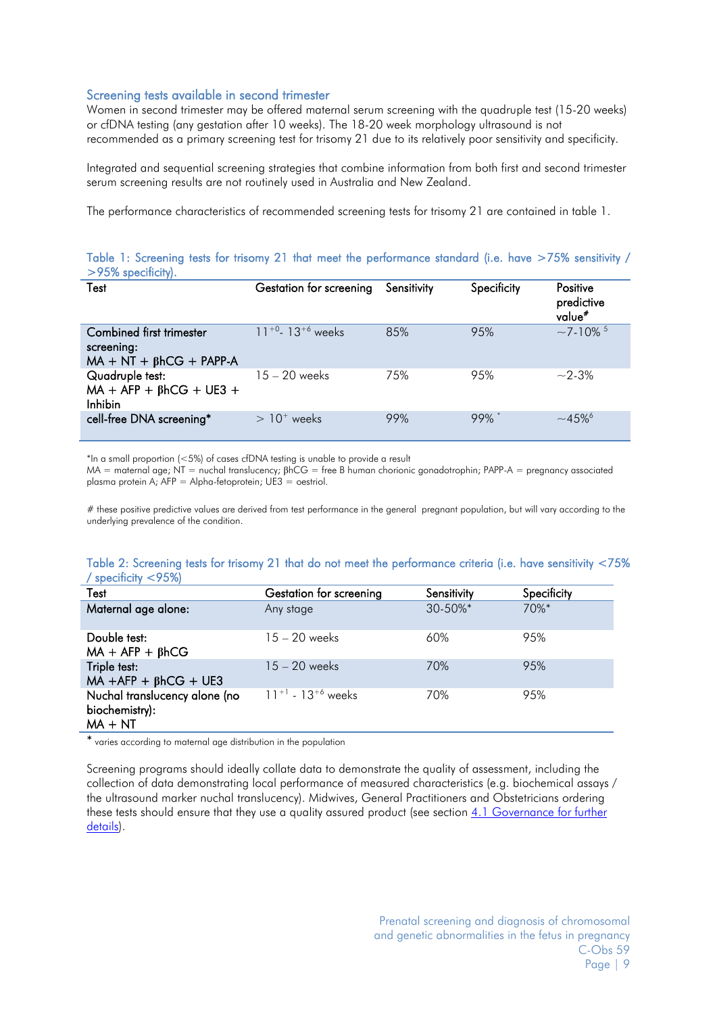#### Screening tests available in second trimester

Women in second trimester may be offered maternal serum screening with the quadruple test (15-20 weeks) or cfDNA testing (any gestation after 10 weeks). The 18-20 week morphology ultrasound is not recommended as a primary screening test for trisomy 21 due to its relatively poor sensitivity and specificity.

Integrated and sequential screening strategies that combine information from both first and second trimester serum screening results are not routinely used in Australia and New Zealand.

The performance characteristics of recommended screening tests for trisomy 21 are contained in table 1.

#### Table 1: Screening tests for trisomy 21 that meet the performance standard (i.e. have >75% sensitivity / >95% specificity).

| Test                                                                     | Gestation for screening            | Sensitivity | Specificity | Positive<br>predictive<br>value# |
|--------------------------------------------------------------------------|------------------------------------|-------------|-------------|----------------------------------|
| Combined first trimester<br>screening:<br>$MA + NT + \beta hCG + PAPP-A$ | $11^{+0}$ - 13 <sup>+6</sup> weeks | 85%         | 95%         | $\sim$ 7-10% $^5$                |
| Quadruple test:<br>$MA + AFP + \beta hCG + UE3 +$<br><b>Inhibin</b>      | $15 - 20$ weeks                    | 75%         | 95%         | $\sim$ 2-3%                      |
| cell-free DNA screening*                                                 | $>10+$ weeks                       | 99%         | $99\%$      | $~1.45\%$ <sup>6</sup>           |

\*In a small proportion (<5%) of cases cfDNA testing is unable to provide a result

MA = maternal age; NT = nuchal translucency; βhCG = free B human chorionic gonadotrophin; PAPP-A = pregnancy associated plasma protein A; AFP = Alpha-fetoprotein; UE3 = oestriol.

# these positive predictive values are derived from test performance in the general pregnant population, but will vary according to the underlying prevalence of the condition.

#### Table 2: Screening tests for trisomy 21 that do not meet the performance criteria (i.e. have sensitivity <75% / specificity <95%)

| Test                                                         | Gestation for screening     | Sensitivity   | Specificity |
|--------------------------------------------------------------|-----------------------------|---------------|-------------|
| Maternal age alone:                                          | Any stage                   | $30 - 50\%$ * | $70%$ *     |
| Double test:<br>$MA + AFP + BhCG$                            | $15 - 20$ weeks             | 60%           | 95%         |
| Triple test:<br>$MA + AFP + \beta hCG + UES$                 | $15 - 20$ weeks             | 70%           | 95%         |
| Nuchal translucency alone (no<br>biochemistry):<br>$MA + NT$ | $11^{+1}$ - $13^{+6}$ weeks | 70%           | 95%         |

\* varies according to maternal age distribution in the population

Screening programs should ideally collate data to demonstrate the quality of assessment, including the collection of data demonstrating local performance of measured characteristics (e.g. biochemical assays / the ultrasound marker nuchal translucency). Midwives, General Practitioners and Obstetricians ordering these tests should ensure that they use a quality assured product (see section [4.1 Governance for further](#page-16-1)  [details\)](#page-16-1).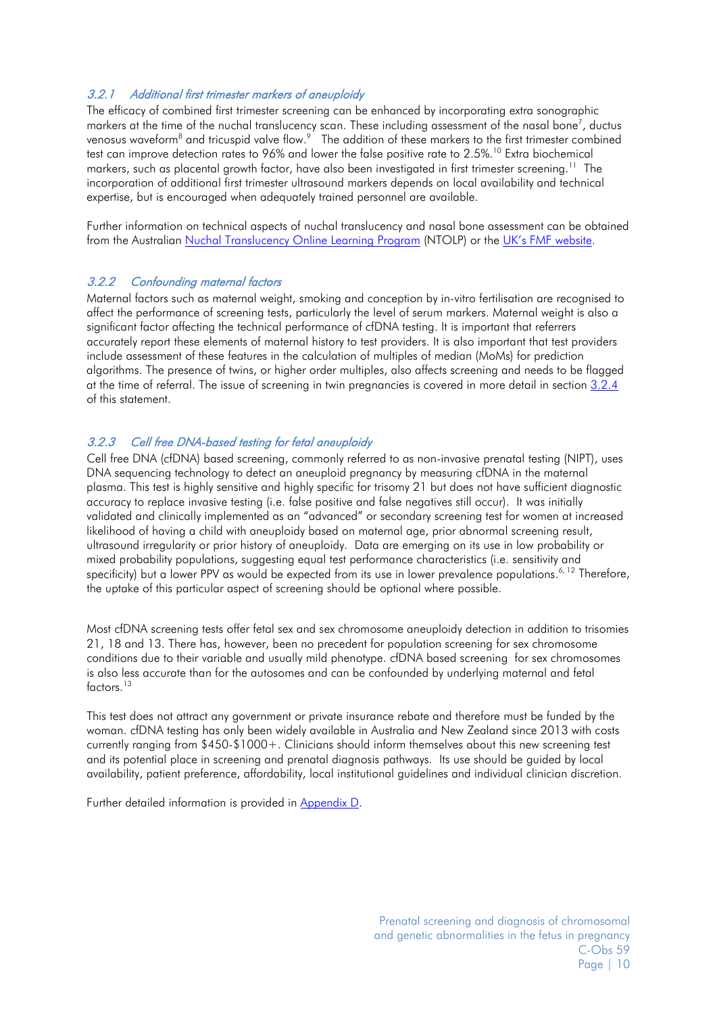#### <span id="page-9-0"></span>3.2.1 Additional first trimester markers of aneuploidy

The efficacy of combined first trimester screening can be enhanced by incorporating extra sonographic markers at the time of the nuchal translucency scan. These including assessment of the nasal bone<sup>7</sup>, ductus venosuswaveform $^8$  and tricuspid valve flow. $^9$  The addition of these markers to the first trimester combined test can improve detection rates to 96% and lower the false positive rate to 2.5%. [10](#page-18-10) Extra biochemical markers, such as placental growth factor, have also been investigated in first trimester screening.<sup>11</sup> The incorporation of additional first trimester ultrasound markers depends on local availability and technical expertise, but is encouraged when adequately trained personnel are available.

Further information on technical aspects of nuchal translucency and nasal bone assessment can be obtained from the Australian [Nuchal Translucency Online Learning Program](http://ntolp.nuchaltrans.edu.au/) (NTOLP) or the [UK's FMF website.](http://www.fetalmedicine.com/)

#### <span id="page-9-1"></span>3.2.2 Confounding maternal factors

Maternal factors such as maternal weight, smoking and conception by in-vitro fertilisation are recognised to affect the performance of screening tests, particularly the level of serum markers. Maternal weight is also a significant factor affecting the technical performance of cfDNA testing. It is important that referrers accurately report these elements of maternal history to test providers. It is also important that test providers include assessment of these features in the calculation of multiples of median (MoMs) for prediction algorithms. The presence of twins, or higher order multiples, also affects screening and needs to be flagged at the time of referral. The issue of screening in twin pregnancies is covered in more detail in section [3.2.4](#page-10-0) of this statement.

#### <span id="page-9-2"></span>3.2.3 Cell free DNA-based testing for fetal aneuploidy

Cell free DNA (cfDNA) based screening, commonly referred to as non-invasive prenatal testing (NIPT), uses DNA sequencing technology to detect an aneuploid pregnancy by measuring cfDNA in the maternal plasma. This test is highly sensitive and highly specific for trisomy 21 but does not have sufficient diagnostic accuracy to replace invasive testing (i.e. false positive and false negatives still occur). It was initially validated and clinically implemented as an "advanced" or secondary screening test for women at increased likelihood of having a child with aneuploidy based on maternal age, prior abnormal screening result, ultrasound irregularity or prior history of aneuploidy. Data are emerging on its use in low probability or mixed probability populations, suggesting equal test performance characteristics (i.e. sensitivity and specificity) but a lower PPV as would be expected from its use in lower prevalence populations.<sup>6, [12](#page-18-12)</sup> Therefore, the uptake of this particular aspect of screening should be optional where possible.

Most cfDNA screening tests offer fetal sex and sex chromosome aneuploidy detection in addition to trisomies 21, 18 and 13. There has, however, been no precedent for population screening for sex chromosome conditions due to their variable and usually mild phenotype. cfDNA based screening for sex chromosomes is also less accurate than for the autosomes and can be confounded by underlying maternal and fetal factors<sup>13</sup>

This test does not attract any government or private insurance rebate and therefore must be funded by the woman. cfDNA testing has only been widely available in Australia and New Zealand since 2013 with costs currently ranging from \$450-\$1000+. Clinicians should inform themselves about this new screening test and its potential place in screening and prenatal diagnosis pathways. Its use should be guided by local availability, patient preference, affordability, local institutional guidelines and individual clinician discretion.

Further detailed information is provided in [Appendix D.](#page-25-1)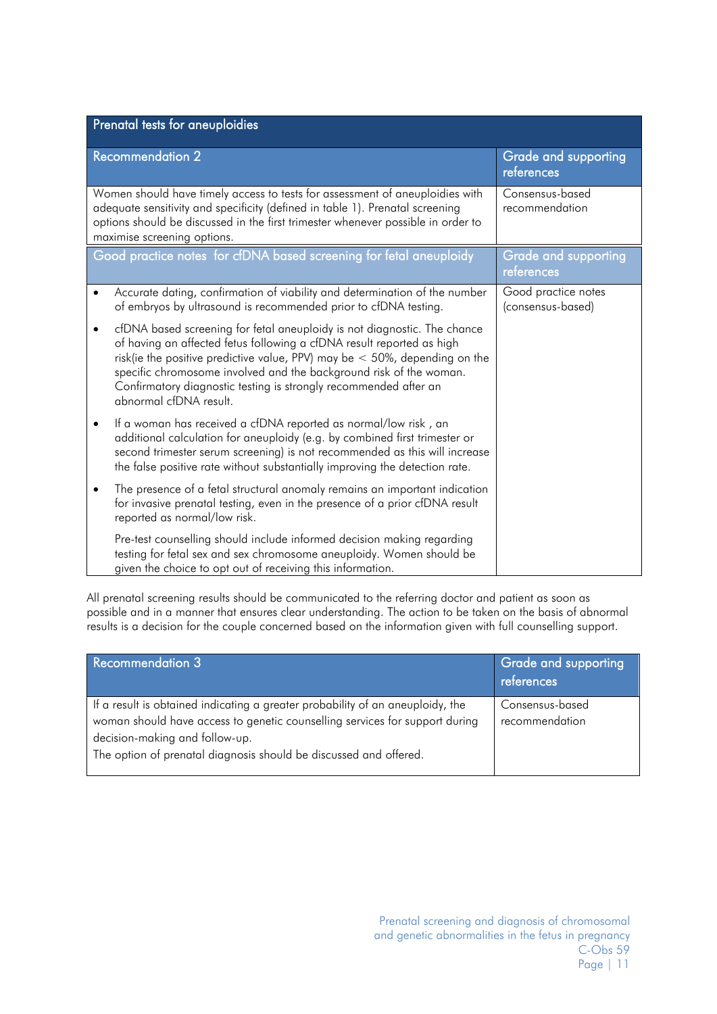|                                                                                                                                                                                                                                                                                  | Prenatal tests for aneuploidies                                                                                                                                                                                                                                                                                                                                                                       |                                           |  |
|----------------------------------------------------------------------------------------------------------------------------------------------------------------------------------------------------------------------------------------------------------------------------------|-------------------------------------------------------------------------------------------------------------------------------------------------------------------------------------------------------------------------------------------------------------------------------------------------------------------------------------------------------------------------------------------------------|-------------------------------------------|--|
|                                                                                                                                                                                                                                                                                  | <b>Recommendation 2</b>                                                                                                                                                                                                                                                                                                                                                                               | <b>Grade and supporting</b><br>references |  |
| Women should have timely access to tests for assessment of aneuploidies with<br>adequate sensitivity and specificity (defined in table 1). Prenatal screening<br>options should be discussed in the first trimester whenever possible in order to<br>maximise screening options. |                                                                                                                                                                                                                                                                                                                                                                                                       | Consensus-based<br>recommendation         |  |
|                                                                                                                                                                                                                                                                                  | Good practice notes for cfDNA based screening for fetal aneuploidy                                                                                                                                                                                                                                                                                                                                    | <b>Grade and supporting</b><br>references |  |
|                                                                                                                                                                                                                                                                                  | Accurate dating, confirmation of viability and determination of the number<br>of embryos by ultrasound is recommended prior to cfDNA testing.                                                                                                                                                                                                                                                         | Good practice notes<br>(consensus-based)  |  |
|                                                                                                                                                                                                                                                                                  | cfDNA based screening for fetal aneuploidy is not diagnostic. The chance<br>of having an affected fetus following a cfDNA result reported as high<br>risk(ie the positive predictive value, PPV) may be $<$ 50%, depending on the<br>specific chromosome involved and the background risk of the woman.<br>Confirmatory diagnostic testing is strongly recommended after an<br>abnormal cfDNA result. |                                           |  |
|                                                                                                                                                                                                                                                                                  | If a woman has received a cfDNA reported as normal/low risk, an<br>additional calculation for aneuploidy (e.g. by combined first trimester or<br>second trimester serum screening) is not recommended as this will increase<br>the false positive rate without substantially improving the detection rate.                                                                                            |                                           |  |
|                                                                                                                                                                                                                                                                                  | The presence of a fetal structural anomaly remains an important indication<br>for invasive prenatal testing, even in the presence of a prior cfDNA result<br>reported as normal/low risk.                                                                                                                                                                                                             |                                           |  |
|                                                                                                                                                                                                                                                                                  | Pre-test counselling should include informed decision making regarding<br>testing for fetal sex and sex chromosome aneuploidy. Women should be<br>given the choice to opt out of receiving this information.                                                                                                                                                                                          |                                           |  |

All prenatal screening results should be communicated to the referring doctor and patient as soon as possible and in a manner that ensures clear understanding. The action to be taken on the basis of abnormal results is a decision for the couple concerned based on the information given with full counselling support.

<span id="page-10-0"></span>

| <b>Recommendation 3</b>                                                                                                                                                                                                                                              | Grade and supporting<br>references |
|----------------------------------------------------------------------------------------------------------------------------------------------------------------------------------------------------------------------------------------------------------------------|------------------------------------|
| If a result is obtained indicating a greater probability of an aneuploidy, the<br>woman should have access to genetic counselling services for support during<br>decision-making and follow-up.<br>The option of prenatal diagnosis should be discussed and offered. | Consensus-based<br>recommendation  |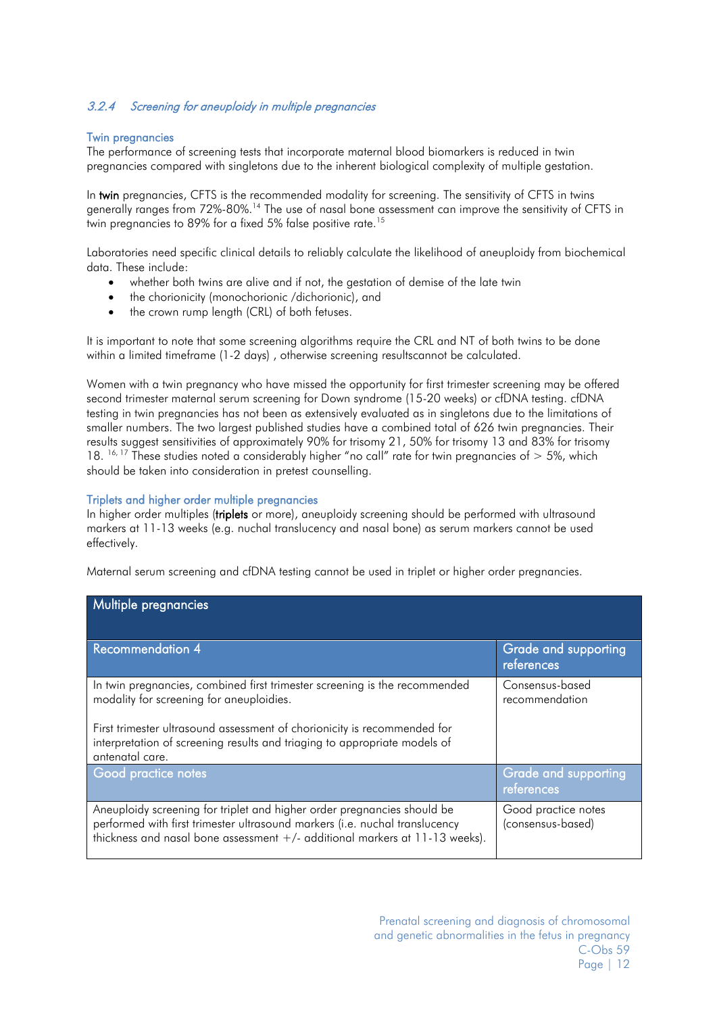### 3.2.4 Screening for aneuploidy in multiple pregnancies

#### Twin pregnancies

The performance of screening tests that incorporate maternal blood biomarkers is reduced in twin pregnancies compared with singletons due to the inherent biological complexity of multiple gestation.

In twin pregnancies, CFTS is the recommended modality for screening. The sensitivity of CFTS in twins generally ranges from 72%-80%.<sup>[14](#page-18-14)</sup> The use of nasal bone assessment can improve the sensitivity of CFTS in twin pregnancies to 89% for a fixed 5% false positive rate.<sup>[15](#page-18-15)</sup>

Laboratories need specific clinical details to reliably calculate the likelihood of aneuploidy from biochemical data. These include:

- whether both twins are alive and if not, the gestation of demise of the late twin
- the chorionicity (monochorionic /dichorionic), and
- the crown rump length (CRL) of both fetuses.

It is important to note that some screening algorithms require the CRL and NT of both twins to be done within a limited timeframe (1-2 days) , otherwise screening resultscannot be calculated.

Women with a twin pregnancy who have missed the opportunity for first trimester screening may be offered second trimester maternal serum screening for Down syndrome (15-20 weeks) or cfDNA testing. cfDNA testing in twin pregnancies has not been as extensively evaluated as in singletons due to the limitations of smaller numbers. The two largest published studies have a combined total of 626 twin pregnancies. Their results suggest sensitivities of approximately 90% for trisomy 21, 50% for trisomy 13 and 83% for trisomy 18. <sup>[16,](#page-18-16) [17](#page-18-17)</sup> These studies noted a considerably higher "no call" rate for twin pregnancies of  $>$  5%, which should be taken into consideration in pretest counselling.

#### Triplets and higher order multiple pregnancies

In higher order multiples (triplets or more), aneuploidy screening should be performed with ultrasound markers at 11-13 weeks (e.g. nuchal translucency and nasal bone) as serum markers cannot be used effectively.

Maternal serum screening and cfDNA testing cannot be used in triplet or higher order pregnancies.

<span id="page-11-0"></span>

| Multiple pregnancies                                                                                                                                                                                                                  |                                           |
|---------------------------------------------------------------------------------------------------------------------------------------------------------------------------------------------------------------------------------------|-------------------------------------------|
| <b>Recommendation 4</b>                                                                                                                                                                                                               | <b>Grade and supporting</b><br>references |
| In twin pregnancies, combined first trimester screening is the recommended<br>modality for screening for aneuploidies.                                                                                                                | Consensus-based<br>recommendation         |
| First trimester ultrasound assessment of chorionicity is recommended for<br>interpretation of screening results and triaging to appropriate models of<br>antenatal care.                                                              |                                           |
| Good practice notes                                                                                                                                                                                                                   | Grade and supporting<br>references        |
| Aneuploidy screening for triplet and higher order pregnancies should be<br>performed with first trimester ultrasound markers (i.e. nuchal translucency<br>thickness and nasal bone assessment +/- additional markers at 11-13 weeks). | Good practice notes<br>(consensus-based)  |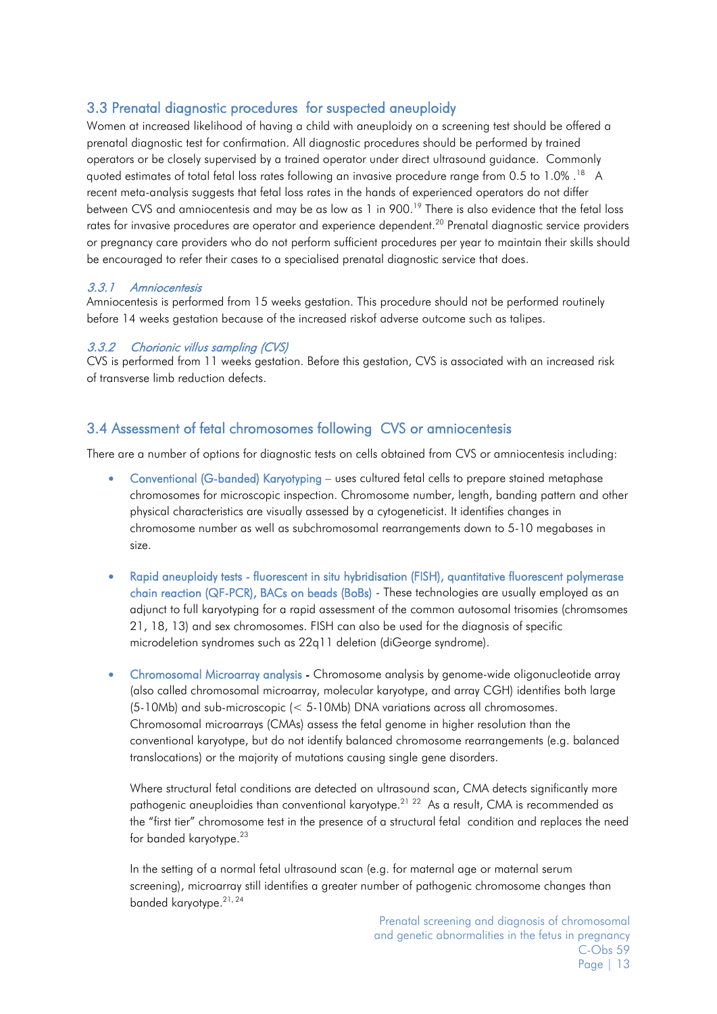## 3.3 Prenatal diagnostic procedures for suspected aneuploidy

Women at increased likelihood of having a child with aneuploidy on a screening test should be offered a prenatal diagnostic test for confirmation. All diagnostic procedures should be performed by trained operators or be closely supervised by a trained operator under direct ultrasound guidance. Commonly quoted estimates of total fetal loss rates following an invasive procedure range from 0.5 to 1.0%. <sup>[18](#page-18-18)</sup> A recent meta-analysis suggests that fetal loss rates in the hands of experienced operators do not differ between CVS and amniocentesis and may be as low as 1 in 900.<sup>19</sup> There is also evidence that the fetal loss rates for invasive procedures are operator and experience dependent.<sup>20</sup> Prenatal diagnostic service providers or pregnancy care providers who do not perform sufficient procedures per year to maintain their skills should be encouraged to refer their cases to a specialised prenatal diagnostic service that does.

#### <span id="page-12-0"></span>3.3.1 Amniocentesis

Amniocentesis is performed from 15 weeks gestation. This procedure should not be performed routinely before 14 weeks gestation because of the increased riskof adverse outcome such as talipes.

#### <span id="page-12-1"></span>3.3.2 Chorionic villus sampling (CVS)

CVS is performed from 11 weeks gestation. Before this gestation, CVS is associated with an increased risk of transverse limb reduction defects.

## <span id="page-12-3"></span><span id="page-12-2"></span>3.4 Assessment of fetal chromosomes following CVS or amniocentesis

There are a number of options for diagnostic tests on cells obtained from CVS or amniocentesis including:

- Conventional (G-banded) Karyotyping uses cultured fetal cells to prepare stained metaphase chromosomes for microscopic inspection. Chromosome number, length, banding pattern and other physical characteristics are visually assessed by a cytogeneticist. It identifies changes in chromosome number as well as subchromosomal rearrangements down to 5-10 megabases in size.
- Rapid aneuploidy tests fluorescent in situ hybridisation (FISH), quantitative fluorescent polymerase chain reaction (QF-PCR), BACs on beads (BoBs) - These technologies are usually employed as an adjunct to full karyotyping for a rapid assessment of the common autosomal trisomies (chromsomes 21, 18, 13) and sex chromosomes. FISH can also be used for the diagnosis of specific microdeletion syndromes such as 22q11 deletion (diGeorge syndrome).
- Chromosomal Microarray analysis Chromosome analysis by genome-wide oligonucleotide array (also called chromosomal microarray, molecular karyotype, and array CGH) identifies both large (5-10Mb) and sub-microscopic (< 5-10Mb) DNA variations across all chromosomes. Chromosomal microarrays (CMAs) assess the fetal genome in higher resolution than the conventional karyotype, but do not identify balanced chromosome rearrangements (e.g. balanced translocations) or the majority of mutations causing single gene disorders.

Where structural fetal conditions are detected on ultrasound scan, CMA detects significantly more pathogenic aneuploidies than conventional karyotype.<sup>[21](#page-18-21)</sup> <sup>[22](#page-19-0)</sup> As a result, CMA is recommended as the "first tier" chromosome test in the presence of a structural fetal condition and replaces the need for banded karyotype.<sup>[23](#page-19-1)</sup>

In the setting of a normal fetal ultrasound scan (e.g. for maternal age or maternal serum screening), microarray still identifies a greater number of pathogenic chromosome changes than banded karyotype. [21,](#page-18-21) [24](#page-19-2)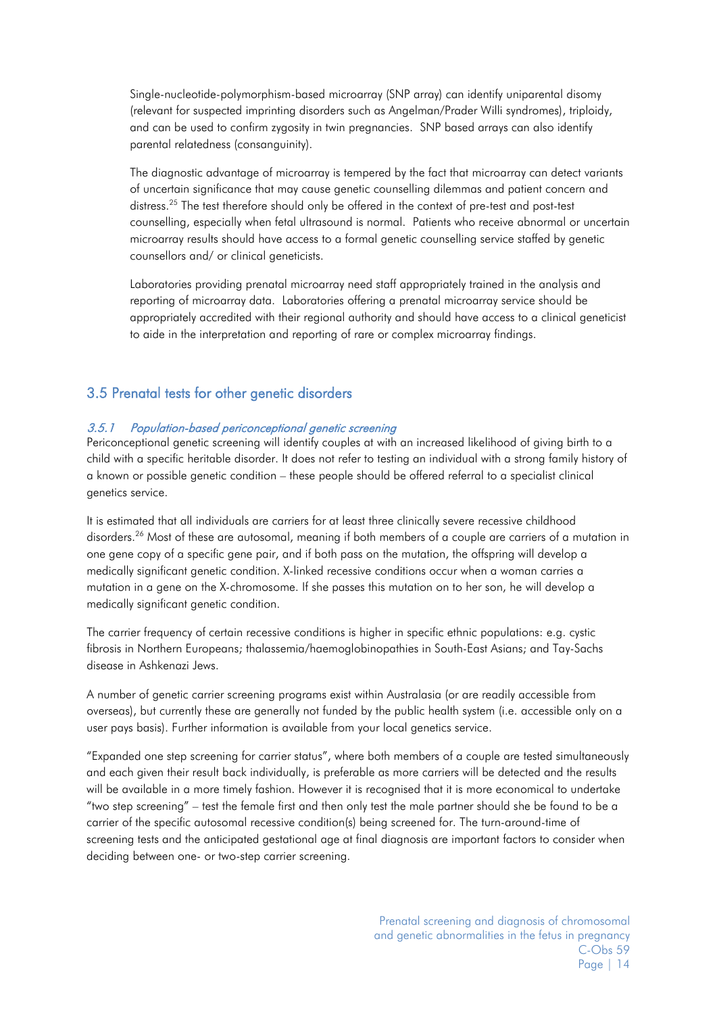Single-nucleotide-polymorphism-based microarray (SNP array) can identify uniparental disomy (relevant for suspected imprinting disorders such as Angelman/Prader Willi syndromes), triploidy, and can be used to confirm zygosity in twin pregnancies. SNP based arrays can also identify parental relatedness (consanguinity).

The diagnostic advantage of microarray is tempered by the fact that microarray can detect variants of uncertain significance that may cause genetic counselling dilemmas and patient concern and distress.<sup>[25](#page-19-3)</sup> The test therefore should only be offered in the context of pre-test and post-test counselling, especially when fetal ultrasound is normal. Patients who receive abnormal or uncertain microarray results should have access to a formal genetic counselling service staffed by genetic counsellors and/ or clinical geneticists.

Laboratories providing prenatal microarray need staff appropriately trained in the analysis and reporting of microarray data. Laboratories offering a prenatal microarray service should be appropriately accredited with their regional authority and should have access to a clinical geneticist to aide in the interpretation and reporting of rare or complex microarray findings.

### <span id="page-13-0"></span>3.5 Prenatal tests for other genetic disorders

#### <span id="page-13-1"></span>3.5.1 Population-based periconceptional genetic screening

Periconceptional genetic screening will identify couples at with an increased likelihood of giving birth to a child with a specific heritable disorder. It does not refer to testing an individual with a strong family history of a known or possible genetic condition – these people should be offered referral to a specialist clinical genetics service.

It is estimated that all individuals are carriers for at least three clinically severe recessive childhood disorders. [26](#page-19-4) Most of these are autosomal, meaning if both members of a couple are carriers of a mutation in one gene copy of a specific gene pair, and if both pass on the mutation, the offspring will develop a medically significant genetic condition. X-linked recessive conditions occur when a woman carries a mutation in a gene on the X-chromosome. If she passes this mutation on to her son, he will develop a medically significant genetic condition.

The carrier frequency of certain recessive conditions is higher in specific ethnic populations: e.g. cystic fibrosis in Northern Europeans; thalassemia/haemoglobinopathies in South-East Asians; and Tay-Sachs disease in Ashkenazi Jews.

A number of genetic carrier screening programs exist within Australasia (or are readily accessible from overseas), but currently these are generally not funded by the public health system (i.e. accessible only on a user pays basis). Further information is available from your local genetics service.

"Expanded one step screening for carrier status", where both members of a couple are tested simultaneously and each given their result back individually, is preferable as more carriers will be detected and the results will be available in a more timely fashion. However it is recognised that it is more economical to undertake "two step screening" – test the female first and then only test the male partner should she be found to be a carrier of the specific autosomal recessive condition(s) being screened for. The turn-around-time of screening tests and the anticipated gestational age at final diagnosis are important factors to consider when deciding between one- or two-step carrier screening.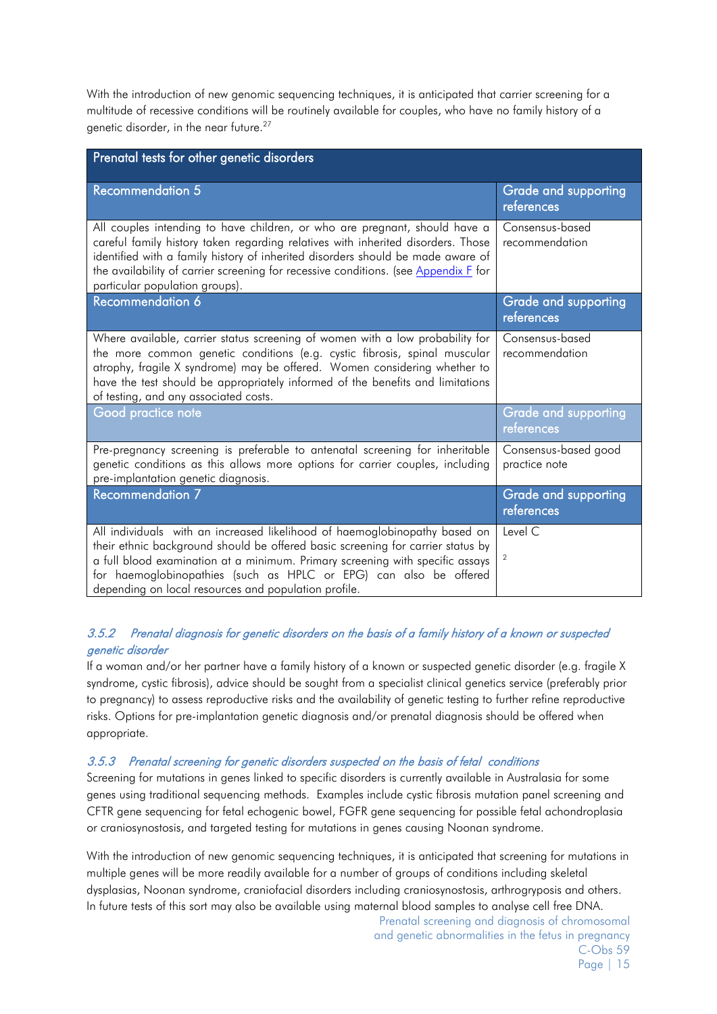With the introduction of new genomic sequencing techniques, it is anticipated that carrier screening for a multitude of recessive conditions will be routinely available for couples, who have no family history of a genetic disorder, in the near future.<sup>[27](#page-19-5)</sup>

| Prenatal tests for other genetic disorders                                                                                                                                                                                                                                                                                                                                  |                                           |  |  |
|-----------------------------------------------------------------------------------------------------------------------------------------------------------------------------------------------------------------------------------------------------------------------------------------------------------------------------------------------------------------------------|-------------------------------------------|--|--|
| <b>Recommendation 5</b>                                                                                                                                                                                                                                                                                                                                                     | <b>Grade and supporting</b><br>references |  |  |
| All couples intending to have children, or who are pregnant, should have a<br>careful family history taken regarding relatives with inherited disorders. Those<br>identified with a family history of inherited disorders should be made aware of<br>the availability of carrier screening for recessive conditions. (see Appendix F for<br>particular population groups).  | Consensus-based<br>recommendation         |  |  |
| Recommendation 6                                                                                                                                                                                                                                                                                                                                                            | Grade and supporting<br>references        |  |  |
| Where available, carrier status screening of women with a low probability for<br>the more common genetic conditions (e.g. cystic fibrosis, spinal muscular<br>atrophy, fragile X syndrome) may be offered. Women considering whether to<br>have the test should be appropriately informed of the benefits and limitations<br>of testing, and any associated costs.          | Consensus-based<br>recommendation         |  |  |
| Good practice note                                                                                                                                                                                                                                                                                                                                                          | <b>Grade and supporting</b><br>references |  |  |
| Pre-pregnancy screening is preferable to antenatal screening for inheritable<br>genetic conditions as this allows more options for carrier couples, including<br>pre-implantation genetic diagnosis.                                                                                                                                                                        | Consensus-based good<br>practice note     |  |  |
| Recommendation 7                                                                                                                                                                                                                                                                                                                                                            | <b>Grade and supporting</b><br>references |  |  |
| All individuals with an increased likelihood of haemoglobinopathy based on<br>their ethnic background should be offered basic screening for carrier status by<br>a full blood examination at a minimum. Primary screening with specific assays<br>for haemoglobinopathies (such as HPLC or EPG) can also be offered<br>depending on local resources and population profile. | Level C<br>$\overline{2}$                 |  |  |

### <span id="page-14-0"></span>3.5.2 Prenatal diagnosis for genetic disorders on the basis of a family history of a known or suspected genetic disorder

If a woman and/or her partner have a family history of a known or suspected genetic disorder (e.g. fragile X syndrome, cystic fibrosis), advice should be sought from a specialist clinical genetics service (preferably prior to pregnancy) to assess reproductive risks and the availability of genetic testing to further refine reproductive risks. Options for pre-implantation genetic diagnosis and/or prenatal diagnosis should be offered when appropriate.

#### <span id="page-14-1"></span>3.5.3 Prenatal screening for genetic disorders suspected on the basis of fetal conditions

Screening for mutations in genes linked to specific disorders is currently available in Australasia for some genes using traditional sequencing methods. Examples include cystic fibrosis mutation panel screening and CFTR gene sequencing for fetal echogenic bowel, FGFR gene sequencing for possible fetal achondroplasia or craniosynostosis, and targeted testing for mutations in genes causing Noonan syndrome.

With the introduction of new genomic sequencing techniques, it is anticipated that screening for mutations in multiple genes will be more readily available for a number of groups of conditions including skeletal dysplasias, Noonan syndrome, craniofacial disorders including craniosynostosis, arthrogryposis and others. In future tests of this sort may also be available using maternal blood samples to analyse cell free DNA.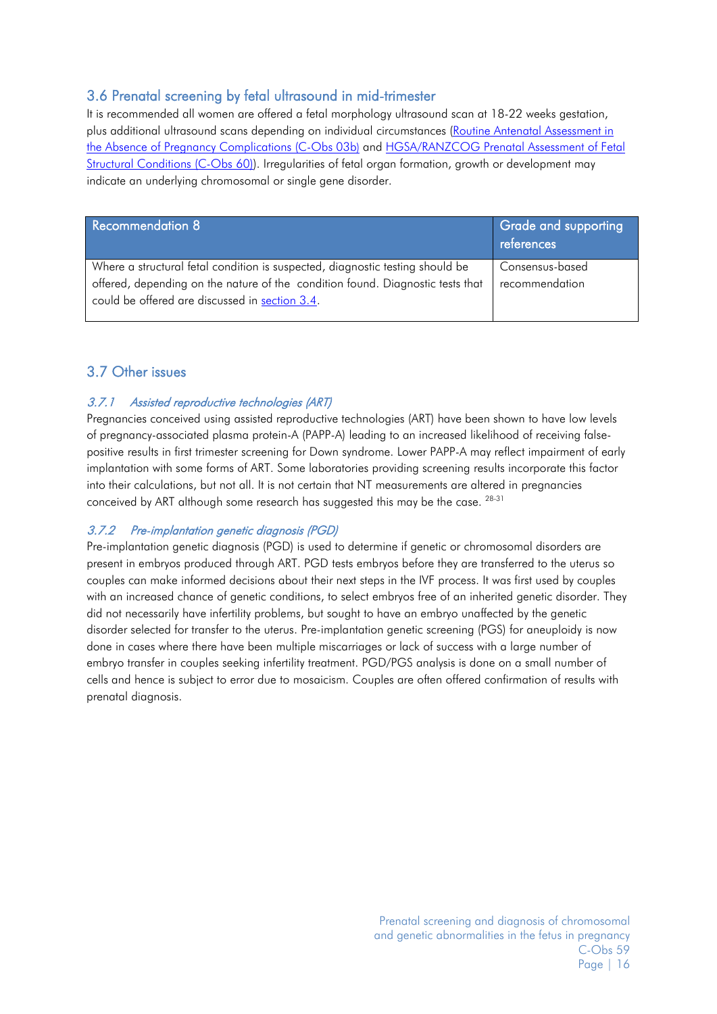# <span id="page-15-0"></span>3.6 Prenatal screening by fetal ultrasound in mid-trimester

It is recommended all women are offered a fetal morphology ultrasound scan at 18-22 weeks gestation, plus additional ultrasound scans depending on individual circumstances [\(Routine Antenatal Assessment in](http://www.ranzcog.edu.au/doc/routine-antenatal-assessment-in-the-absence-of-pregnancy-complications.html)  [the Absence of Pregnancy Complications \(C-Obs 03b\)](http://www.ranzcog.edu.au/doc/routine-antenatal-assessment-in-the-absence-of-pregnancy-complications.html) and [HGSA/RANZCOG Prenatal Assessment of Fetal](http://www.ranzcog.edu.au/doc/prenatal-assessment-of-fetal-structural-abnormalities.html) [Structural Conditions \(C-Obs 60\)\)](http://www.ranzcog.edu.au/doc/prenatal-assessment-of-fetal-structural-abnormalities.html). Irregularities of fetal organ formation, growth or development may indicate an underlying chromosomal or single gene disorder.

| <b>Recommendation 8</b>                                                                                                          | <b>Grade and supporting</b><br>references |
|----------------------------------------------------------------------------------------------------------------------------------|-------------------------------------------|
| Where a structural fetal condition is suspected, diagnostic testing should be                                                    | Consensus-based                           |
| offered, depending on the nature of the condition found. Diagnostic tests that<br>could be offered are discussed in section 3.4. | recommendation                            |

## <span id="page-15-1"></span>3.7 Other issues

### <span id="page-15-2"></span>3.7.1 Assisted reproductive technologies (ART)

Pregnancies conceived using assisted reproductive technologies (ART) have been shown to have low levels of pregnancy-associated plasma protein-A (PAPP-A) leading to an increased likelihood of receiving falsepositive results in first trimester screening for Down syndrome. Lower PAPP-A may reflect impairment of early implantation with some forms of ART. Some laboratories providing screening results incorporate this factor into their calculations, but not all. It is not certain that NT measurements are altered in pregnancies conceived by ART although some research has suggested this may be the case. <sup>28-31</sup>

### <span id="page-15-3"></span>3.7.2 Pre-implantation genetic diagnosis (PGD)

Pre-implantation genetic diagnosis (PGD) is used to determine if genetic or chromosomal disorders are present in embryos produced through ART. PGD tests embryos before they are transferred to the uterus so couples can make informed decisions about their next steps in the IVF process. It was first used by couples with an increased chance of genetic conditions, to select embryos free of an inherited genetic disorder. They did not necessarily have infertility problems, but sought to have an embryo unaffected by the genetic disorder selected for transfer to the uterus. Pre-implantation genetic screening (PGS) for aneuploidy is now done in cases where there have been multiple miscarriages or lack of success with a large number of embryo transfer in couples seeking infertility treatment. PGD/PGS analysis is done on a small number of cells and hence is subject to error due to mosaicism. Couples are often offered confirmation of results with prenatal diagnosis.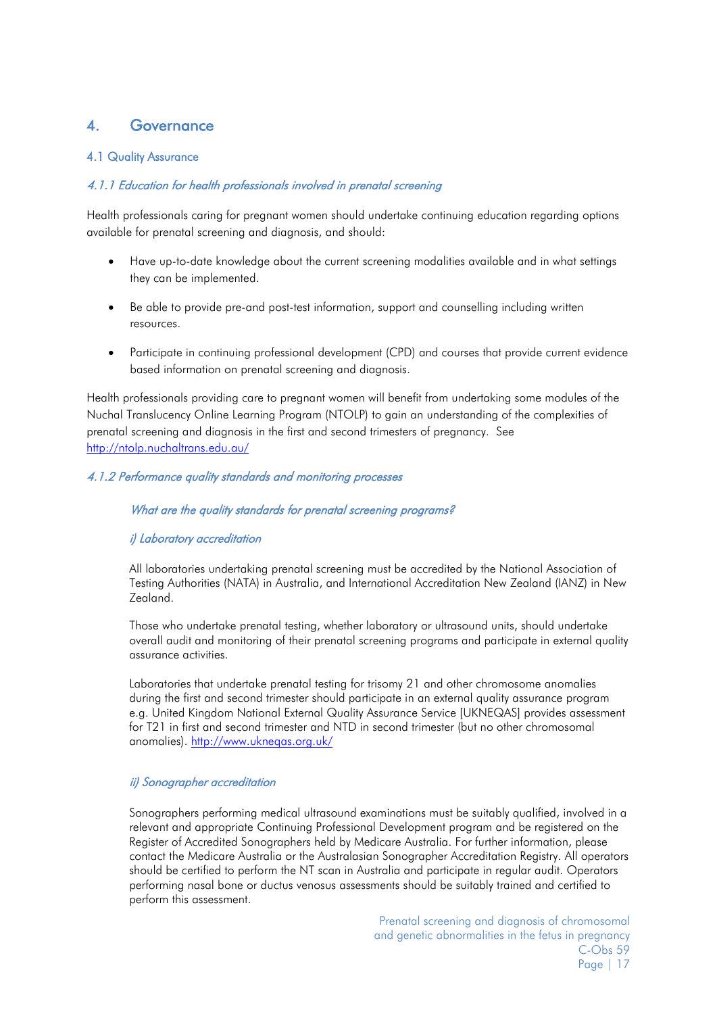# <span id="page-16-0"></span>4. Governance

#### <span id="page-16-1"></span>4.1 Quality Assurance

#### <span id="page-16-2"></span>4.1.1 Education for health professionals involved in prenatal screening

Health professionals caring for pregnant women should undertake continuing education regarding options available for prenatal screening and diagnosis, and should:

- Have up-to-date knowledge about the current screening modalities available and in what settings they can be implemented.
- Be able to provide pre-and post-test information, support and counselling including written resources.
- Participate in continuing professional development (CPD) and courses that provide current evidence based information on prenatal screening and diagnosis.

Health professionals providing care to pregnant women will benefit from undertaking some modules of the Nuchal Translucency Online Learning Program (NTOLP) to gain an understanding of the complexities of prenatal screening and diagnosis in the first and second trimesters of pregnancy. See <http://ntolp.nuchaltrans.edu.au/>

#### <span id="page-16-3"></span>4.1.2 Performance quality standards and monitoring processes

#### What are the quality standards for prenatal screening programs?

#### <span id="page-16-4"></span>i) Laboratory accreditation

All laboratories undertaking prenatal screening must be accredited by the National Association of Testing Authorities (NATA) in Australia, and International Accreditation New Zealand (IANZ) in New Zealand.

Those who undertake prenatal testing, whether laboratory or ultrasound units, should undertake overall audit and monitoring of their prenatal screening programs and participate in external quality assurance activities.

Laboratories that undertake prenatal testing for trisomy 21 and other chromosome anomalies during the first and second trimester should participate in an external quality assurance program e.g. United Kingdom National External Quality Assurance Service [UKNEQAS] provides assessment for T21 in first and second trimester and NTD in second trimester (but no other chromosomal anomalies).<http://www.ukneqas.org.uk/>

#### <span id="page-16-5"></span>ii) Sonographer accreditation

Sonographers performing medical ultrasound examinations must be suitably qualified, involved in a relevant and appropriate Continuing Professional Development program and be registered on the Register of Accredited Sonographers held by Medicare Australia. For further information, please contact the Medicare Australia or the Australasian Sonographer Accreditation Registry. All operators should be certified to perform the NT scan in Australia and participate in regular audit. Operators performing nasal bone or ductus venosus assessments should be suitably trained and certified to perform this assessment.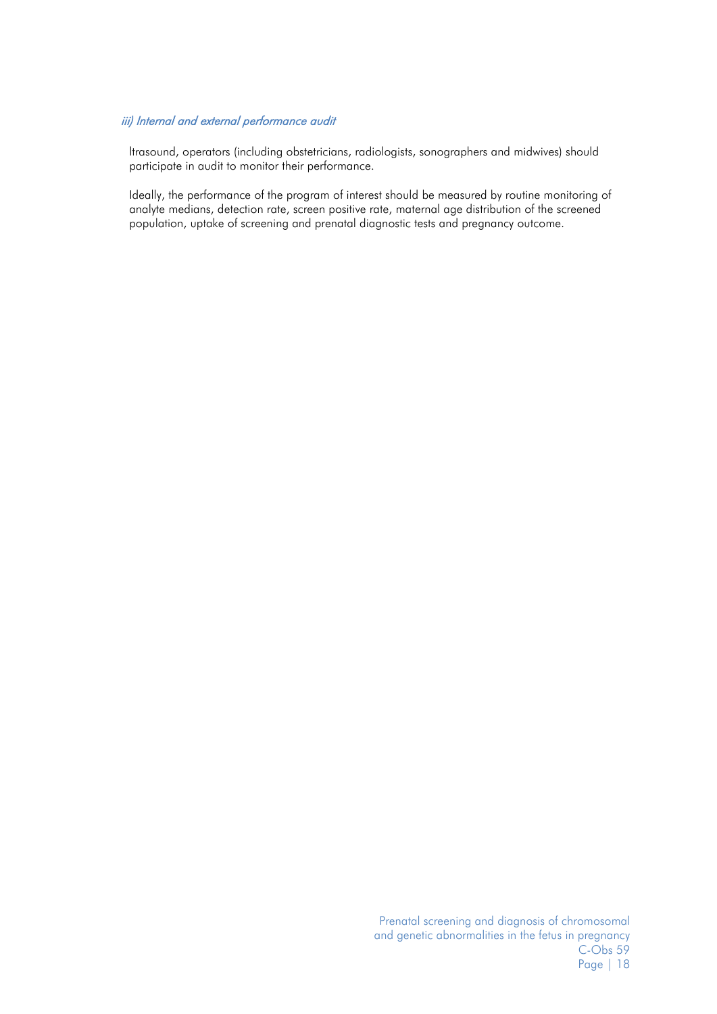#### <span id="page-17-0"></span>iii) Internal and external performance audit

ltrasound, operators (including obstetricians, radiologists, sonographers and midwives) should participate in audit to monitor their performance.

Ideally, the performance of the program of interest should be measured by routine monitoring of analyte medians, detection rate, screen positive rate, maternal age distribution of the screened population, uptake of screening and prenatal diagnostic tests and pregnancy outcome.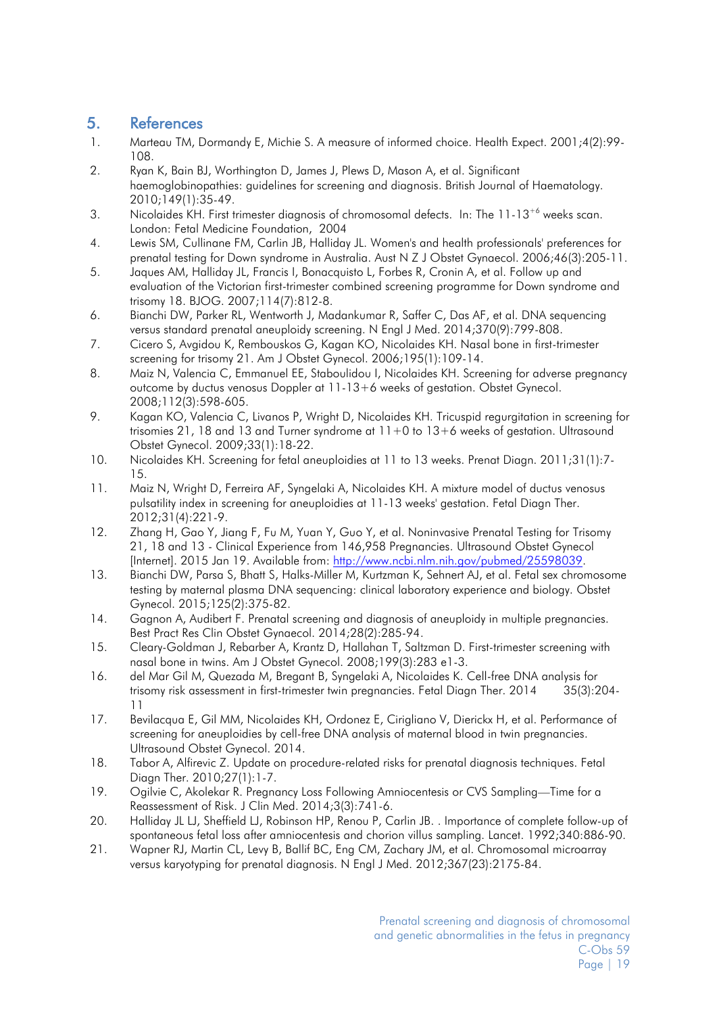# <span id="page-18-0"></span>5. References

- <span id="page-18-1"></span>1. Marteau TM, Dormandy E, Michie S. A measure of informed choice. Health Expect. 2001;4(2):99- 108.
- <span id="page-18-2"></span>2. Ryan K, Bain BJ, Worthington D, James J, Plews D, Mason A, et al. Significant haemoglobinopathies: guidelines for screening and diagnosis. British Journal of Haematology. 2010;149(1):35-49.
- <span id="page-18-3"></span>3. Nicolaides KH. First trimester diagnosis of chromosomal defects. In: The 11-13<sup>+6</sup> weeks scan. London: Fetal Medicine Foundation, 2004
- <span id="page-18-4"></span>4. Lewis SM, Cullinane FM, Carlin JB, Halliday JL. Women's and health professionals' preferences for prenatal testing for Down syndrome in Australia. Aust N Z J Obstet Gynaecol. 2006;46(3):205-11.
- <span id="page-18-5"></span>5. Jaques AM, Halliday JL, Francis I, Bonacquisto L, Forbes R, Cronin A, et al. Follow up and evaluation of the Victorian first-trimester combined screening programme for Down syndrome and trisomy 18. BJOG. 2007;114(7):812-8.
- <span id="page-18-6"></span>6. Bianchi DW, Parker RL, Wentworth J, Madankumar R, Saffer C, Das AF, et al. DNA sequencing versus standard prenatal aneuploidy screening. N Engl J Med. 2014;370(9):799-808.
- <span id="page-18-7"></span>7. Cicero S, Avgidou K, Rembouskos G, Kagan KO, Nicolaides KH. Nasal bone in first-trimester screening for trisomy 21. Am J Obstet Gynecol. 2006;195(1):109-14.
- <span id="page-18-8"></span>8. Maiz N, Valencia C, Emmanuel EE, Staboulidou I, Nicolaides KH. Screening for adverse pregnancy outcome by ductus venosus Doppler at 11-13+6 weeks of gestation. Obstet Gynecol. 2008;112(3):598-605.
- <span id="page-18-9"></span>9. Kagan KO, Valencia C, Livanos P, Wright D, Nicolaides KH. Tricuspid regurgitation in screening for trisomies 21, 18 and 13 and Turner syndrome at 11+0 to 13+6 weeks of gestation. Ultrasound Obstet Gynecol. 2009;33(1):18-22.
- <span id="page-18-10"></span>10. Nicolaides KH. Screening for fetal aneuploidies at 11 to 13 weeks. Prenat Diagn. 2011;31(1):7- 15.
- <span id="page-18-11"></span>11. Maiz N, Wright D, Ferreira AF, Syngelaki A, Nicolaides KH. A mixture model of ductus venosus pulsatility index in screening for aneuploidies at 11-13 weeks' gestation. Fetal Diagn Ther. 2012;31(4):221-9.
- <span id="page-18-12"></span>12. Zhang H, Gao Y, Jiang F, Fu M, Yuan Y, Guo Y, et al. Noninvasive Prenatal Testing for Trisomy 21, 18 and 13 - Clinical Experience from 146,958 Pregnancies. Ultrasound Obstet Gynecol [Internet]. 2015 Jan 19. Available from: [http://www.ncbi.nlm.nih.gov/pubmed/25598039.](http://www.ncbi.nlm.nih.gov/pubmed/25598039)
- <span id="page-18-13"></span>13. Bianchi DW, Parsa S, Bhatt S, Halks-Miller M, Kurtzman K, Sehnert AJ, et al. Fetal sex chromosome testing by maternal plasma DNA sequencing: clinical laboratory experience and biology. Obstet Gynecol. 2015;125(2):375-82.
- <span id="page-18-14"></span>14. Gagnon A, Audibert F. Prenatal screening and diagnosis of aneuploidy in multiple pregnancies. Best Pract Res Clin Obstet Gynaecol. 2014;28(2):285-94.
- <span id="page-18-15"></span>15. Cleary-Goldman J, Rebarber A, Krantz D, Hallahan T, Saltzman D. First-trimester screening with nasal bone in twins. Am J Obstet Gynecol. 2008;199(3):283 e1-3.
- <span id="page-18-16"></span>16. del Mar Gil M, Quezada M, Bregant B, Syngelaki A, Nicolaides K. Cell-free DNA analysis for trisomy risk assessment in first-trimester twin pregnancies. Fetal Diagn Ther. 2014 35(3):204- 11
- <span id="page-18-17"></span>17. Bevilacqua E, Gil MM, Nicolaides KH, Ordonez E, Cirigliano V, Dierickx H, et al. Performance of screening for aneuploidies by cell-free DNA analysis of maternal blood in twin pregnancies. Ultrasound Obstet Gynecol. 2014.
- <span id="page-18-18"></span>18. Tabor A, Alfirevic Z. Update on procedure-related risks for prenatal diagnosis techniques. Fetal Diagn Ther. 2010;27(1):1-7.
- <span id="page-18-19"></span>19. Ogilvie C, Akolekar R. Pregnancy Loss Following Amniocentesis or CVS Sampling—Time for a Reassessment of Risk. J Clin Med. 2014;3(3):741-6.
- <span id="page-18-20"></span>20. Halliday JL LJ, Sheffield LJ, Robinson HP, Renou P, Carlin JB. . Importance of complete follow-up of spontaneous fetal loss after amniocentesis and chorion villus sampling. Lancet. 1992;340:886-90.
- <span id="page-18-21"></span>21. Wapner RJ, Martin CL, Levy B, Ballif BC, Eng CM, Zachary JM, et al. Chromosomal microarray versus karyotyping for prenatal diagnosis. N Engl J Med. 2012;367(23):2175-84.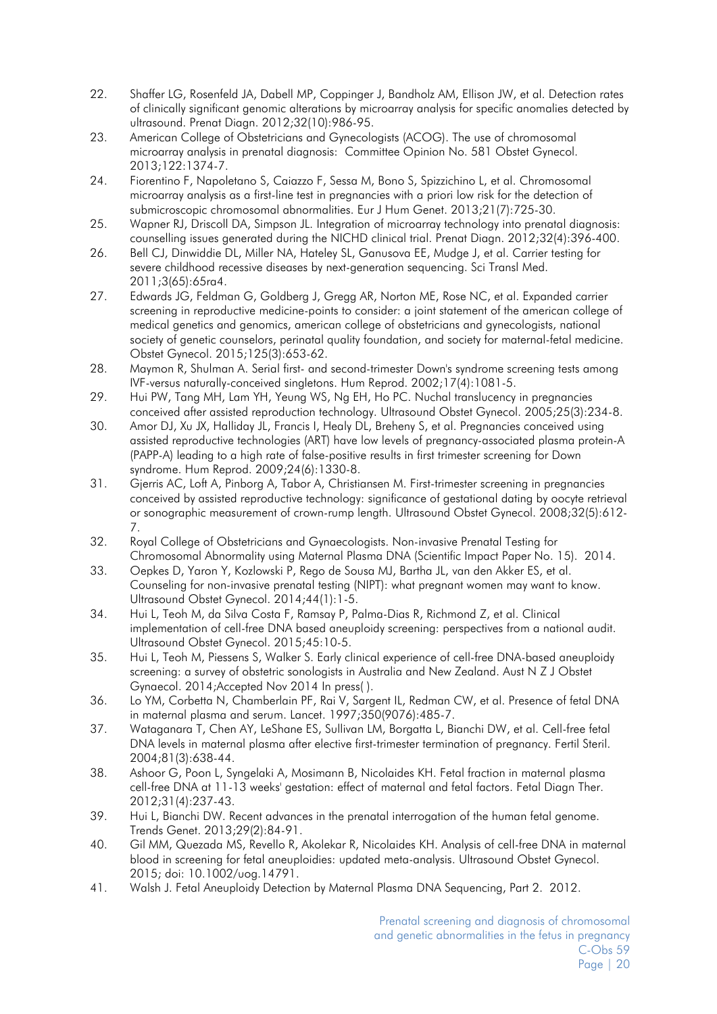- <span id="page-19-0"></span>22. Shaffer LG, Rosenfeld JA, Dabell MP, Coppinger J, Bandholz AM, Ellison JW, et al. Detection rates of clinically significant genomic alterations by microarray analysis for specific anomalies detected by ultrasound. Prenat Diagn. 2012;32(10):986-95.
- <span id="page-19-1"></span>23. American College of Obstetricians and Gynecologists (ACOG). The use of chromosomal microarray analysis in prenatal diagnosis: Committee Opinion No. 581 Obstet Gynecol. 2013;122:1374-7.
- <span id="page-19-2"></span>24. Fiorentino F, Napoletano S, Caiazzo F, Sessa M, Bono S, Spizzichino L, et al. Chromosomal microarray analysis as a first-line test in pregnancies with a priori low risk for the detection of submicroscopic chromosomal abnormalities. Eur J Hum Genet. 2013;21(7):725-30.
- <span id="page-19-3"></span>25. Wapner RJ, Driscoll DA, Simpson JL. Integration of microarray technology into prenatal diagnosis: counselling issues generated during the NICHD clinical trial. Prenat Diagn. 2012;32(4):396-400.
- <span id="page-19-4"></span>26. Bell CJ, Dinwiddie DL, Miller NA, Hateley SL, Ganusova EE, Mudge J, et al. Carrier testing for severe childhood recessive diseases by next-generation sequencing. Sci Transl Med. 2011;3(65):65ra4.
- <span id="page-19-5"></span>27. Edwards JG, Feldman G, Goldberg J, Gregg AR, Norton ME, Rose NC, et al. Expanded carrier screening in reproductive medicine-points to consider: a joint statement of the american college of medical genetics and genomics, american college of obstetricians and gynecologists, national society of genetic counselors, perinatal quality foundation, and society for maternal-fetal medicine. Obstet Gynecol. 2015;125(3):653-62.
- <span id="page-19-6"></span>28. Maymon R, Shulman A. Serial first- and second-trimester Down's syndrome screening tests among IVF-versus naturally-conceived singletons. Hum Reprod. 2002;17(4):1081-5.
- 29. Hui PW, Tang MH, Lam YH, Yeung WS, Ng EH, Ho PC. Nuchal translucency in pregnancies conceived after assisted reproduction technology. Ultrasound Obstet Gynecol. 2005;25(3):234-8.
- 30. Amor DJ, Xu JX, Halliday JL, Francis I, Healy DL, Breheny S, et al. Pregnancies conceived using assisted reproductive technologies (ART) have low levels of pregnancy-associated plasma protein-A (PAPP-A) leading to a high rate of false-positive results in first trimester screening for Down syndrome. Hum Reprod. 2009;24(6):1330-8.
- 31. Gjerris AC, Loft A, Pinborg A, Tabor A, Christiansen M. First-trimester screening in pregnancies conceived by assisted reproductive technology: significance of gestational dating by oocyte retrieval or sonographic measurement of crown-rump length. Ultrasound Obstet Gynecol. 2008;32(5):612- 7.
- <span id="page-19-7"></span>32. Royal College of Obstetricians and Gynaecologists. Non-invasive Prenatal Testing for Chromosomal Abnormality using Maternal Plasma DNA (Scientific Impact Paper No. 15). 2014.
- <span id="page-19-8"></span>33. Oepkes D, Yaron Y, Kozlowski P, Rego de Sousa MJ, Bartha JL, van den Akker ES, et al. Counseling for non-invasive prenatal testing (NIPT): what pregnant women may want to know. Ultrasound Obstet Gynecol. 2014;44(1):1-5.
- <span id="page-19-9"></span>34. Hui L, Teoh M, da Silva Costa F, Ramsay P, Palma-Dias R, Richmond Z, et al. Clinical implementation of cell-free DNA based aneuploidy screening: perspectives from a national audit. Ultrasound Obstet Gynecol. 2015;45:10-5.
- <span id="page-19-10"></span>35. Hui L, Teoh M, Piessens S, Walker S. Early clinical experience of cell-free DNA-based aneuploidy screening: a survey of obstetric sonologists in Australia and New Zealand. Aust N Z J Obstet Gynaecol. 2014;Accepted Nov 2014 In press( ).
- <span id="page-19-11"></span>36. Lo YM, Corbetta N, Chamberlain PF, Rai V, Sargent IL, Redman CW, et al. Presence of fetal DNA in maternal plasma and serum. Lancet. 1997;350(9076):485-7.
- <span id="page-19-12"></span>37. Wataganara T, Chen AY, LeShane ES, Sullivan LM, Borgatta L, Bianchi DW, et al. Cell-free fetal DNA levels in maternal plasma after elective first-trimester termination of pregnancy. Fertil Steril. 2004;81(3):638-44.
- <span id="page-19-13"></span>38. Ashoor G, Poon L, Syngelaki A, Mosimann B, Nicolaides KH. Fetal fraction in maternal plasma cell-free DNA at 11-13 weeks' gestation: effect of maternal and fetal factors. Fetal Diagn Ther. 2012;31(4):237-43.
- <span id="page-19-14"></span>39. Hui L, Bianchi DW. Recent advances in the prenatal interrogation of the human fetal genome. Trends Genet. 2013;29(2):84-91.
- <span id="page-19-15"></span>40. Gil MM, Quezada MS, Revello R, Akolekar R, Nicolaides KH. Analysis of cell-free DNA in maternal blood in screening for fetal aneuploidies: updated meta-analysis. Ultrasound Obstet Gynecol. 2015; doi: 10.1002/uog.14791.
- <span id="page-19-16"></span>41. Walsh J. Fetal Aneuploidy Detection by Maternal Plasma DNA Sequencing, Part 2. 2012.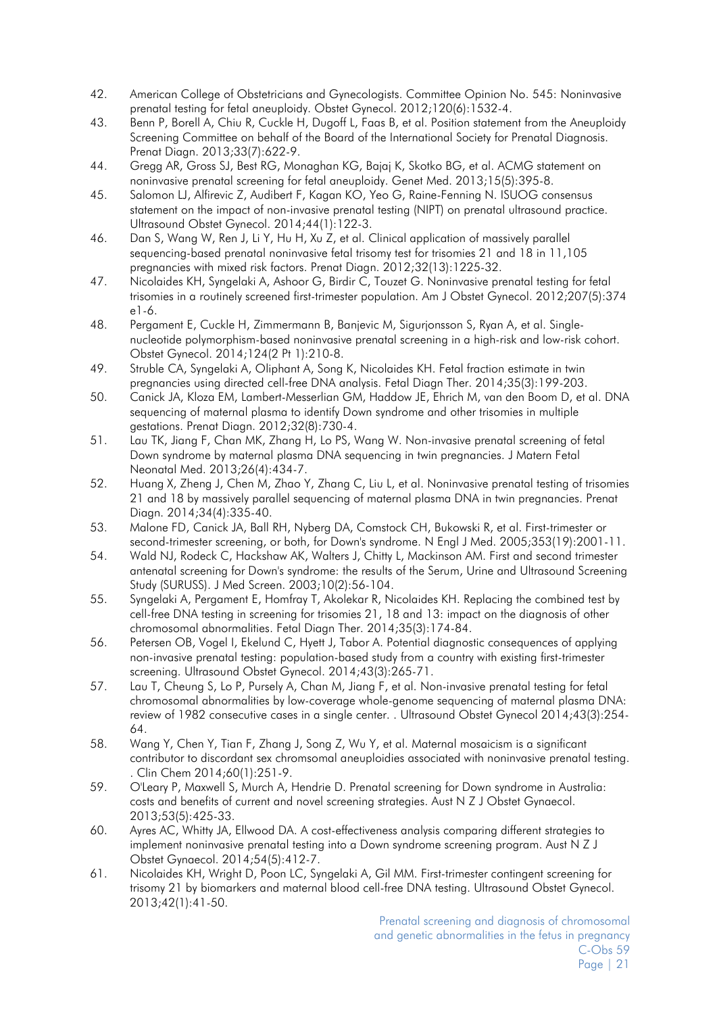- 42. American College of Obstetricians and Gynecologists. Committee Opinion No. 545: Noninvasive prenatal testing for fetal aneuploidy. Obstet Gynecol. 2012;120(6):1532-4.
- 43. Benn P, Borell A, Chiu R, Cuckle H, Dugoff L, Faas B, et al. Position statement from the Aneuploidy Screening Committee on behalf of the Board of the International Society for Prenatal Diagnosis. Prenat Diagn. 2013;33(7):622-9.
- 44. Gregg AR, Gross SJ, Best RG, Monaghan KG, Bajaj K, Skotko BG, et al. ACMG statement on noninvasive prenatal screening for fetal aneuploidy. Genet Med. 2013;15(5):395-8.
- <span id="page-20-0"></span>45. Salomon LJ, Alfirevic Z, Audibert F, Kagan KO, Yeo G, Raine-Fenning N. ISUOG consensus statement on the impact of non-invasive prenatal testing (NIPT) on prenatal ultrasound practice. Ultrasound Obstet Gynecol. 2014;44(1):122-3.
- <span id="page-20-1"></span>46. Dan S, Wang W, Ren J, Li Y, Hu H, Xu Z, et al. Clinical application of massively parallel sequencing-based prenatal noninvasive fetal trisomy test for trisomies 21 and 18 in 11,105 pregnancies with mixed risk factors. Prenat Diagn. 2012;32(13):1225-32.
- 47. Nicolaides KH, Syngelaki A, Ashoor G, Birdir C, Touzet G. Noninvasive prenatal testing for fetal trisomies in a routinely screened first-trimester population. Am J Obstet Gynecol. 2012;207(5):374 e1-6.
- <span id="page-20-2"></span>48. Pergament E, Cuckle H, Zimmermann B, Banjevic M, Sigurjonsson S, Ryan A, et al. Singlenucleotide polymorphism-based noninvasive prenatal screening in a high-risk and low-risk cohort. Obstet Gynecol. 2014;124(2 Pt 1):210-8.
- <span id="page-20-3"></span>49. Struble CA, Syngelaki A, Oliphant A, Song K, Nicolaides KH. Fetal fraction estimate in twin pregnancies using directed cell-free DNA analysis. Fetal Diagn Ther. 2014;35(3):199-203.
- <span id="page-20-4"></span>50. Canick JA, Kloza EM, Lambert-Messerlian GM, Haddow JE, Ehrich M, van den Boom D, et al. DNA sequencing of maternal plasma to identify Down syndrome and other trisomies in multiple gestations. Prenat Diagn. 2012;32(8):730-4.
- 51. Lau TK, Jiang F, Chan MK, Zhang H, Lo PS, Wang W. Non-invasive prenatal screening of fetal Down syndrome by maternal plasma DNA sequencing in twin pregnancies. J Matern Fetal Neonatal Med. 2013;26(4):434-7.
- 52. Huang X, Zheng J, Chen M, Zhao Y, Zhang C, Liu L, et al. Noninvasive prenatal testing of trisomies 21 and 18 by massively parallel sequencing of maternal plasma DNA in twin pregnancies. Prenat Diagn. 2014;34(4):335-40.
- <span id="page-20-5"></span>53. Malone FD, Canick JA, Ball RH, Nyberg DA, Comstock CH, Bukowski R, et al. First-trimester or second-trimester screening, or both, for Down's syndrome. N Engl J Med. 2005;353(19):2001-11.
- <span id="page-20-6"></span>54. Wald NJ, Rodeck C, Hackshaw AK, Walters J, Chitty L, Mackinson AM. First and second trimester antenatal screening for Down's syndrome: the results of the Serum, Urine and Ultrasound Screening Study (SURUSS). J Med Screen. 2003;10(2):56-104.
- <span id="page-20-7"></span>55. Syngelaki A, Pergament E, Homfray T, Akolekar R, Nicolaides KH. Replacing the combined test by cell-free DNA testing in screening for trisomies 21, 18 and 13: impact on the diagnosis of other chromosomal abnormalities. Fetal Diagn Ther. 2014;35(3):174-84.
- <span id="page-20-8"></span>56. Petersen OB, Vogel I, Ekelund C, Hyett J, Tabor A. Potential diagnostic consequences of applying non-invasive prenatal testing: population-based study from a country with existing first-trimester screening. Ultrasound Obstet Gynecol. 2014;43(3):265-71.
- <span id="page-20-9"></span>57. Lau T, Cheung S, Lo P, Pursely A, Chan M, Jiang F, et al. Non-invasive prenatal testing for fetal chromosomal abnormalities by low-coverage whole-genome sequencing of maternal plasma DNA: review of 1982 consecutive cases in a single center. . Ultrasound Obstet Gynecol 2014;43(3):254- 64.
- <span id="page-20-10"></span>58. Wang Y, Chen Y, Tian F, Zhang J, Song Z, Wu Y, et al. Maternal mosaicism is a significant contributor to discordant sex chromsomal aneuploidies associated with noninvasive prenatal testing. . Clin Chem 2014;60(1):251-9.
- <span id="page-20-11"></span>59. O'Leary P, Maxwell S, Murch A, Hendrie D. Prenatal screening for Down syndrome in Australia: costs and benefits of current and novel screening strategies. Aust N Z J Obstet Gynaecol. 2013;53(5):425-33.
- <span id="page-20-12"></span>60. Ayres AC, Whitty JA, Ellwood DA. A cost-effectiveness analysis comparing different strategies to implement noninvasive prenatal testing into a Down syndrome screening program. Aust N Z J Obstet Gynaecol. 2014;54(5):412-7.
- <span id="page-20-13"></span>61. Nicolaides KH, Wright D, Poon LC, Syngelaki A, Gil MM. First-trimester contingent screening for trisomy 21 by biomarkers and maternal blood cell-free DNA testing. Ultrasound Obstet Gynecol. 2013;42(1):41-50.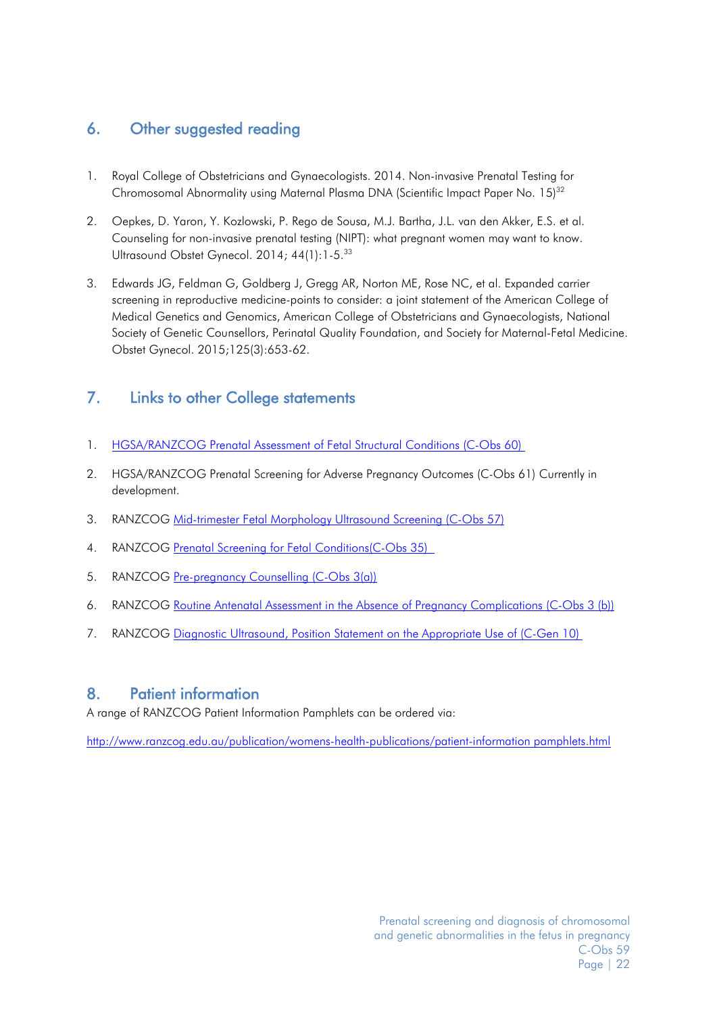# <span id="page-21-0"></span>6. Other suggested reading

- 1. Royal College of Obstetricians and Gynaecologists. 2014. Non-invasive Prenatal Testing for Chromosomal Abnormality using Maternal Plasma DNA (Scientific Impact Paper No. 15)<sup>32</sup>
- 2. Oepkes, D. Yaron, Y. Kozlowski, P. Rego de Sousa, M.J. Bartha, J.L. van den Akker, E.S. et al. Counseling for non-invasive prenatal testing (NIPT): what pregnant women may want to know. Ultrasound Obstet Gynecol. 2014; 44(1):1-5.<sup>33</sup>
- 3. Edwards JG, Feldman G, Goldberg J, Gregg AR, Norton ME, Rose NC, et al. Expanded carrier screening in reproductive medicine-points to consider: a joint statement of the American College of Medical Genetics and Genomics, American College of Obstetricians and Gynaecologists, National Society of Genetic Counsellors, Perinatal Quality Foundation, and Society for Maternal-Fetal Medicine. Obstet Gynecol. 2015;125(3):653-62.

# <span id="page-21-1"></span>7. Links to other College statements

- 1. [HGSA/RANZCOG Prenatal Assessment of Fetal Structural Conditions \(C-Obs 60\)](http://www.ranzcog.edu.au/doc/prenatal-assessment-of-fetal-structural-abnormalities.html)
- 2. HGSA/RANZCOG Prenatal Screening for Adverse Pregnancy Outcomes (C-Obs 61) Currently in development.
- 3. RANZCOG [Mid-trimester Fetal Morphology Ultrasound Screening \(C-Obs 57\)](http://www.ranzcog.edu.au/doc/Fetal%20Morphology.html)
- 4. RANZCOG [Prenatal Screening for Fetal Conditions\(C-Obs 35\)](http://www.ranzcog.edu.au/doc/prenatal-screening-for-fetal-abnormalities.html)
- 5. RANZCOG [Pre-pregnancy Counselling \(C-Obs 3\(a\)\)](http://www.ranzcog.edu.au/component/docman/doc_download/2111-pre-pregnancy-counselling-c-obs-03a.html?Itemid=946)
- 6. RANZCOG [Routine Antenatal Assessment in the Absence of Pregnancy Complications \(C-Obs 3 \(b\)\)](http://www.ranzcog.edu.au/doc/routine-antenatal-assessment-in-the-absence-of-pregnancy-complications.html)
- 7. RANZCOG [Diagnostic Ultrasound, Position Statement on the Appropriate Use of \(C-Gen 10\)](http://www.ranzcog.edu.au/doc/position-statement-on-the-appropriate-use-of-diagnostic-ultrasound-c-gen-10.html)

# <span id="page-21-2"></span>8. Patient information

A range of RANZCOG Patient Information Pamphlets can be ordered via:

[http://www.ranzcog.edu.au/publication/womens-health-publications/patient-information pamphlets.html](http://www.ranzcog.edu.au/publication/womens-health-publications/patient-information%20pamphlets.html)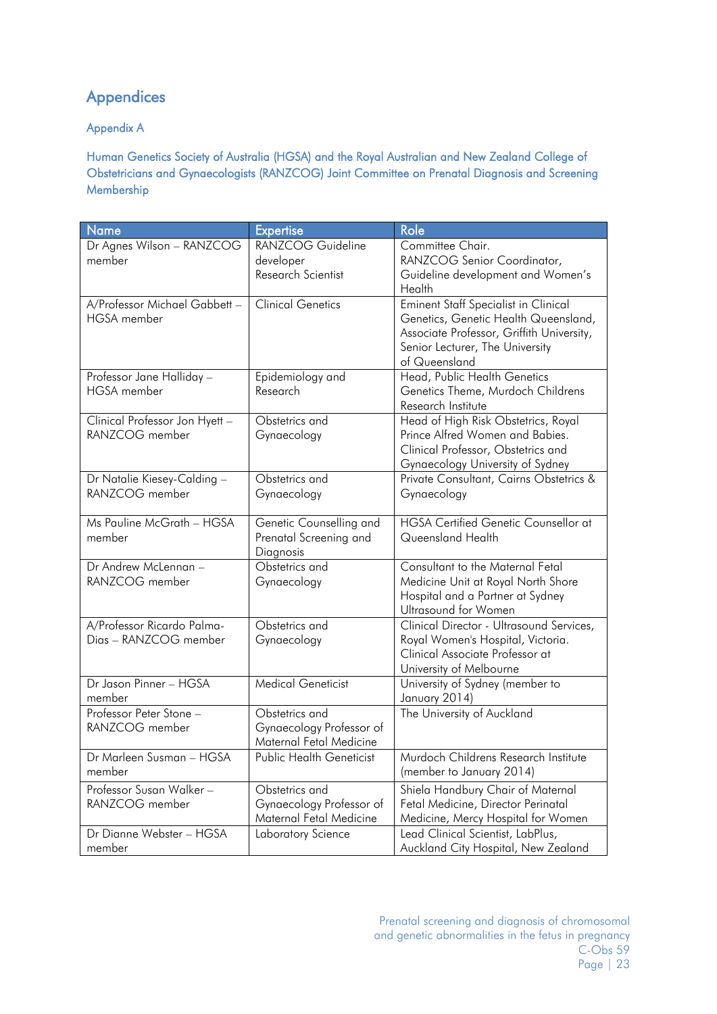# <span id="page-22-0"></span>Appendices

## <span id="page-22-1"></span>Appendix A

<span id="page-22-2"></span>Human Genetics Society of Australia (HGSA) and the Royal Australian and New Zealand College of Obstetricians and Gynaecologists (RANZCOG) Joint Committee on Prenatal Diagnosis and Screening Membership

| Name                           | <b>Expertise</b>          | Role                                                       |
|--------------------------------|---------------------------|------------------------------------------------------------|
| Dr Agnes Wilson - RANZCOG      | RANZCOG Guideline         | Committee Chair.                                           |
| member                         | developer                 | RANZCOG Senior Coordinator,                                |
|                                | Research Scientist        | Guideline development and Women's                          |
|                                |                           | Health                                                     |
| A/Professor Michael Gabbett -  | <b>Clinical Genetics</b>  | Eminent Staff Specialist in Clinical                       |
| <b>HGSA</b> member             |                           | Genetics, Genetic Health Queensland,                       |
|                                |                           | Associate Professor, Griffith University,                  |
|                                |                           | Senior Lecturer, The University                            |
|                                |                           | of Queensland                                              |
| Professor Jane Halliday -      | Epidemiology and          | Head, Public Health Genetics                               |
| <b>HGSA</b> member             | Research                  | Genetics Theme, Murdoch Childrens                          |
|                                |                           | Research Institute                                         |
| Clinical Professor Jon Hyett - | Obstetrics and            | Head of High Risk Obstetrics, Royal                        |
| RANZCOG member                 | Gynaecology               | Prince Alfred Women and Babies.                            |
|                                |                           | Clinical Professor, Obstetrics and                         |
|                                |                           | Gynaecology University of Sydney                           |
| Dr Natalie Kiesey-Calding -    | Obstetrics and            | Private Consultant, Cairns Obstetrics &                    |
| RANZCOG member                 | Gynaecology               | Gynaecology                                                |
|                                |                           |                                                            |
| Ms Pauline McGrath - HGSA      | Genetic Counselling and   | <b>HGSA Certified Genetic Counsellor at</b>                |
| member                         | Prenatal Screening and    | Queensland Health                                          |
|                                | Diagnosis                 |                                                            |
| Dr Andrew McLennan -           | Obstetrics and            | Consultant to the Maternal Fetal                           |
| RANZCOG member                 | Gynaecology               | Medicine Unit at Royal North Shore                         |
|                                |                           | Hospital and a Partner at Sydney                           |
|                                |                           | Ultrasound for Women                                       |
| A/Professor Ricardo Palma-     | Obstetrics and            | Clinical Director - Ultrasound Services,                   |
| Dias - RANZCOG member          | Gynaecology               | Royal Women's Hospital, Victoria.                          |
|                                |                           | Clinical Associate Professor at                            |
| Dr Jason Pinner - HGSA         | <b>Medical Geneticist</b> | University of Melbourne<br>University of Sydney (member to |
| member                         |                           | January 2014)                                              |
| Professor Peter Stone -        | Obstetrics and            | The University of Auckland                                 |
| RANZCOG member                 | Gynaecology Professor of  |                                                            |
|                                | Maternal Fetal Medicine   |                                                            |
| Dr Marleen Susman - HGSA       | Public Health Geneticist  | Murdoch Childrens Research Institute                       |
| member                         |                           | (member to January 2014)                                   |
| Professor Susan Walker-        | Obstetrics and            | Shiela Handbury Chair of Maternal                          |
| RANZCOG member                 | Gynaecology Professor of  | Fetal Medicine, Director Perinatal                         |
|                                | Maternal Fetal Medicine   | Medicine, Mercy Hospital for Women                         |
| Dr Dianne Webster - HGSA       | Laboratory Science        | Lead Clinical Scientist, LabPlus,                          |
| member                         |                           | Auckland City Hospital, New Zealand                        |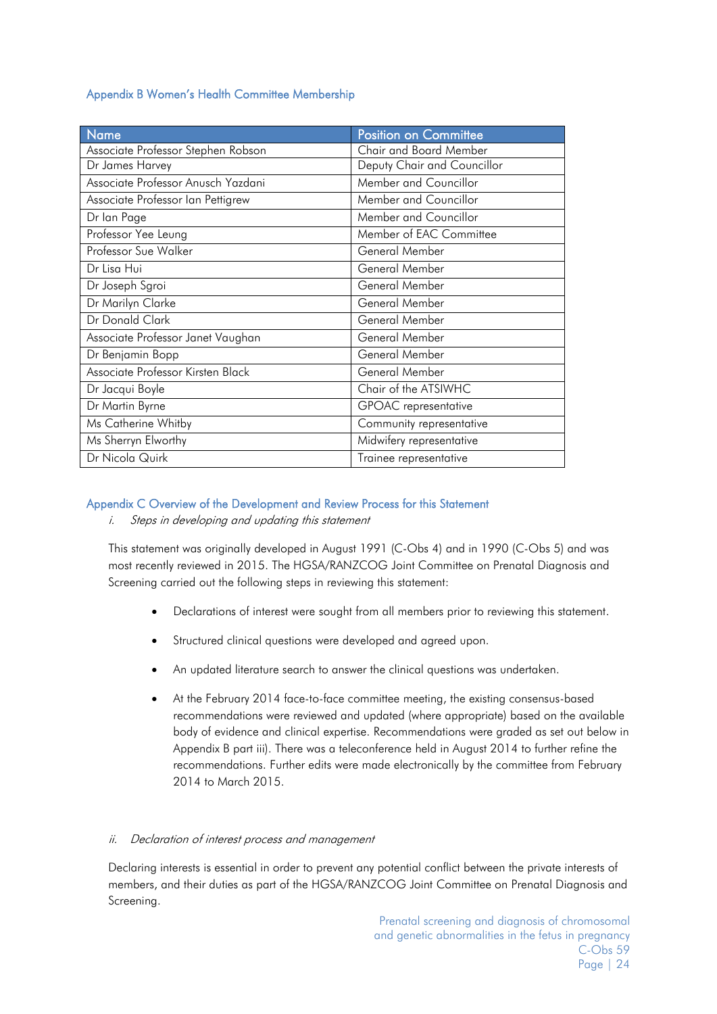#### <span id="page-23-0"></span>Appendix B Women's Health Committee Membership

| <b>Name</b>                        | Position on Committee       |
|------------------------------------|-----------------------------|
| Associate Professor Stephen Robson | Chair and Board Member      |
| Dr James Harvey                    | Deputy Chair and Councillor |
| Associate Professor Anusch Yazdani | Member and Councillor       |
| Associate Professor Ian Pettigrew  | Member and Councillor       |
| Dr Ian Page                        | Member and Councillor       |
| Professor Yee Leung                | Member of EAC Committee     |
| Professor Sue Walker               | General Member              |
| Dr Lisa Hui                        | General Member              |
| Dr Joseph Sgroi                    | General Member              |
| Dr Marilyn Clarke                  | General Member              |
| Dr Donald Clark                    | General Member              |
| Associate Professor Janet Vaughan  | General Member              |
| Dr Benjamin Bopp                   | General Member              |
| Associate Professor Kirsten Black  | General Member              |
| Dr Jacqui Boyle                    | Chair of the ATSIWHC        |
| Dr Martin Byrne                    | <b>GPOAC</b> representative |
| Ms Catherine Whitby                | Community representative    |
| Ms Sherryn Elworthy                | Midwifery representative    |
| Dr Nicola Quirk                    | Trainee representative      |

#### <span id="page-23-1"></span>Appendix C Overview of the Development and Review Process for this Statement

i. Steps in developing and updating this statement

This statement was originally developed in August 1991 (C-Obs 4) and in 1990 (C-Obs 5) and was most recently reviewed in 2015. The HGSA/RANZCOG Joint Committee on Prenatal Diagnosis and Screening carried out the following steps in reviewing this statement:

- Declarations of interest were sought from all members prior to reviewing this statement.
- Structured clinical questions were developed and agreed upon.
- An updated literature search to answer the clinical questions was undertaken.
- At the February 2014 face-to-face committee meeting, the existing consensus-based recommendations were reviewed and updated (where appropriate) based on the available body of evidence and clinical expertise. Recommendations were graded as set out below in Appendix B part iii). There was a teleconference held in August 2014 to further refine the recommendations. Further edits were made electronically by the committee from February 2014 to March 2015.

#### ii. Declaration of interest process and management

Declaring interests is essential in order to prevent any potential conflict between the private interests of members, and their duties as part of the HGSA/RANZCOG Joint Committee on Prenatal Diagnosis and Screening.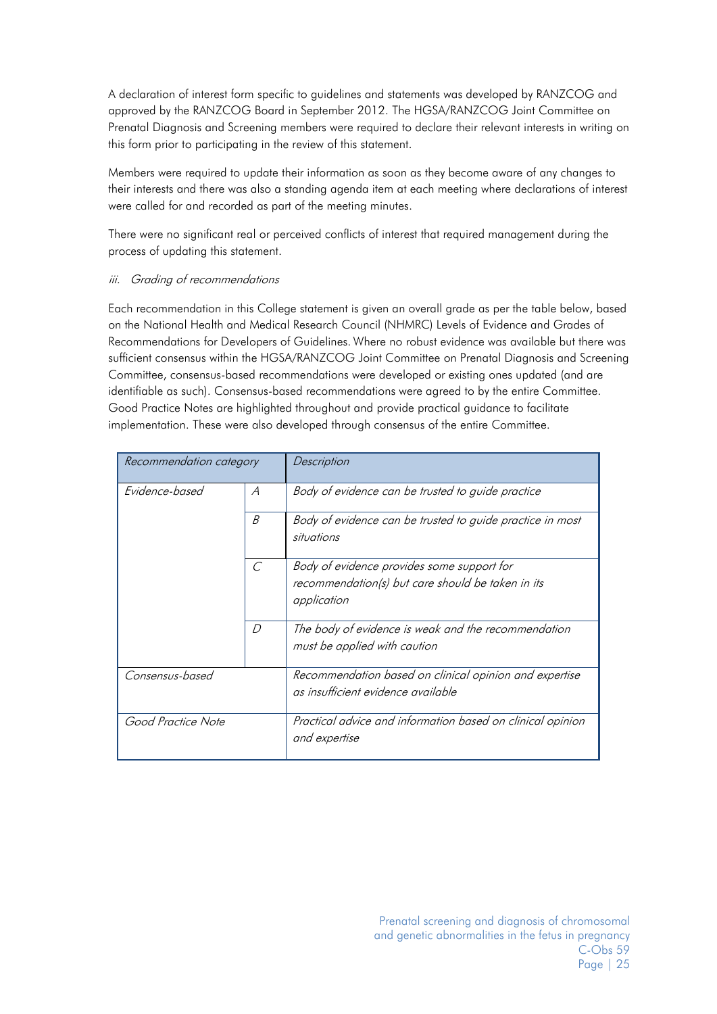A declaration of interest form specific to guidelines and statements was developed by RANZCOG and approved by the RANZCOG Board in September 2012. The HGSA/RANZCOG Joint Committee on Prenatal Diagnosis and Screening members were required to declare their relevant interests in writing on this form prior to participating in the review of this statement.

Members were required to update their information as soon as they become aware of any changes to their interests and there was also a standing agenda item at each meeting where declarations of interest were called for and recorded as part of the meeting minutes.

There were no significant real or perceived conflicts of interest that required management during the process of updating this statement.

#### iii. Grading of recommendations

Each recommendation in this College statement is given an overall grade as per the table below, based on the National Health and Medical Research Council (NHMRC) Levels of Evidence and Grades of Recommendations for Developers of Guidelines. Where no robust evidence was available but there was sufficient consensus within the HGSA/RANZCOG Joint Committee on Prenatal Diagnosis and Screening Committee, consensus-based recommendations were developed or existing ones updated (and are identifiable as such). Consensus-based recommendations were agreed to by the entire Committee. Good Practice Notes are highlighted throughout and provide practical guidance to facilitate implementation. These were also developed through consensus of the entire Committee.

| Recommendation category |                             | Description                                                                                                    |
|-------------------------|-----------------------------|----------------------------------------------------------------------------------------------------------------|
| Evidence-based          | $\mathcal{A}_{\mathcal{A}}$ | Body of evidence can be trusted to guide practice                                                              |
|                         | B                           | Body of evidence can be trusted to guide practice in most<br>situations                                        |
|                         | $\mathcal{C}$               | Body of evidence provides some support for<br>recommendation(s) but care should be taken in its<br>application |
|                         | D                           | The body of evidence is weak and the recommendation<br>must be applied with caution                            |
| Consensus-based         |                             | Recommendation based on clinical opinion and expertise<br>as insufficient evidence available                   |
| Good Practice Note      |                             | Practical advice and information based on clinical opinion<br>and expertise                                    |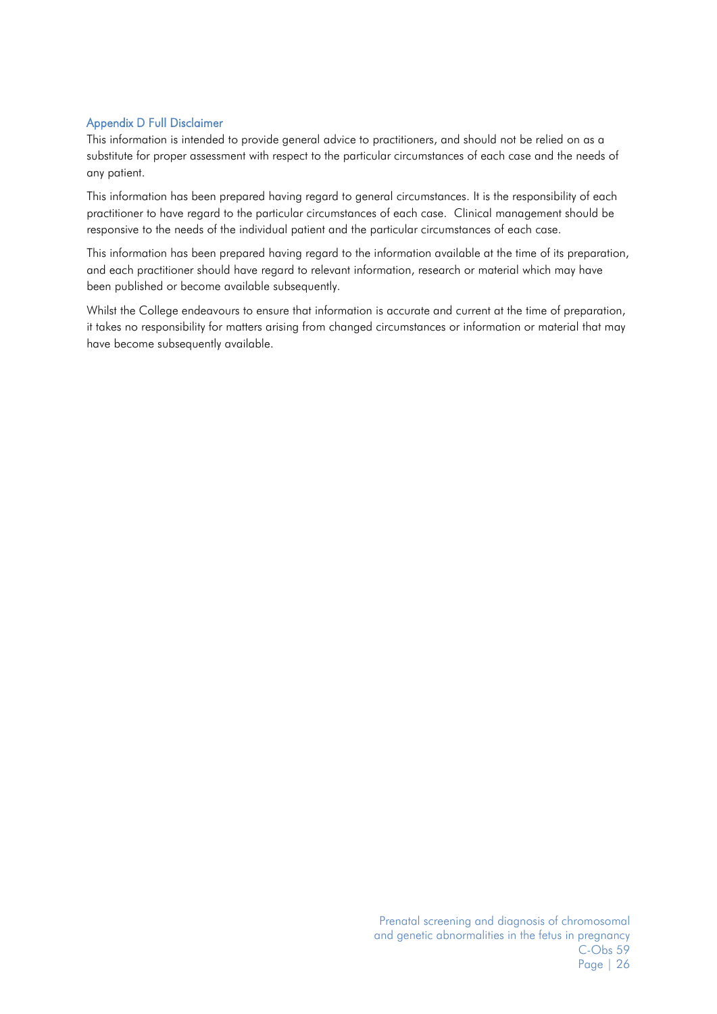#### <span id="page-25-0"></span>Appendix D Full Disclaimer

This information is intended to provide general advice to practitioners, and should not be relied on as a substitute for proper assessment with respect to the particular circumstances of each case and the needs of any patient.

This information has been prepared having regard to general circumstances. It is the responsibility of each practitioner to have regard to the particular circumstances of each case. Clinical management should be responsive to the needs of the individual patient and the particular circumstances of each case.

This information has been prepared having regard to the information available at the time of its preparation, and each practitioner should have regard to relevant information, research or material which may have been published or become available subsequently.

<span id="page-25-1"></span>Whilst the College endeavours to ensure that information is accurate and current at the time of preparation, it takes no responsibility for matters arising from changed circumstances or information or material that may have become subsequently available.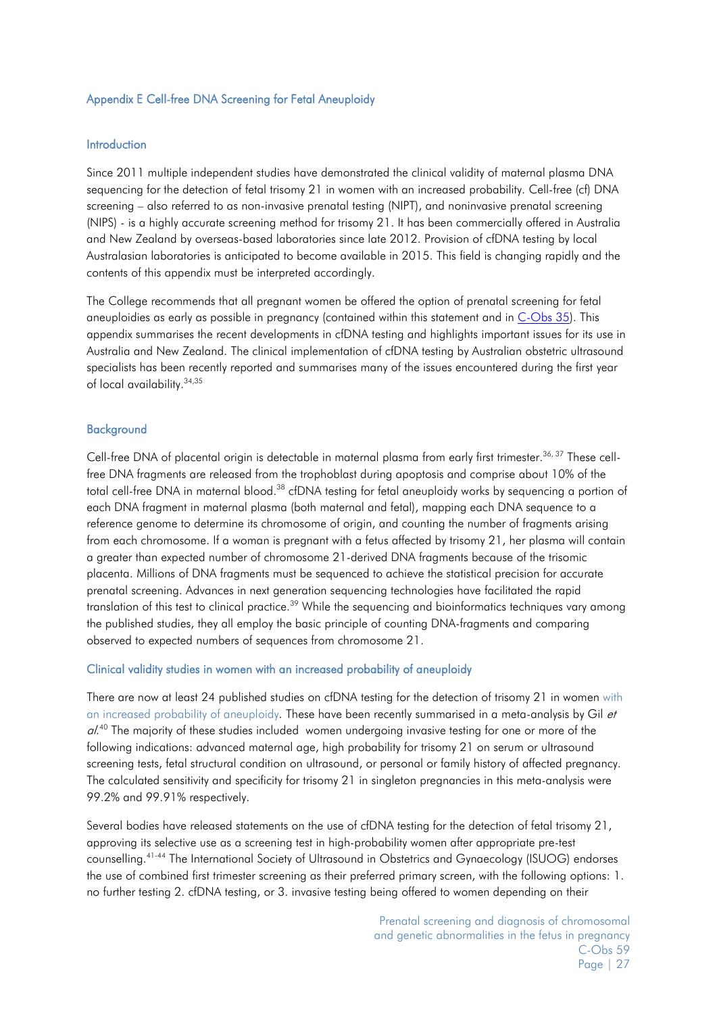#### <span id="page-26-0"></span>Appendix E Cell-free DNA Screening for Fetal Aneuploidy

#### Introduction

Since 2011 multiple independent studies have demonstrated the clinical validity of maternal plasma DNA sequencing for the detection of fetal trisomy 21 in women with an increased probability. Cell-free (cf) DNA screening – also referred to as non-invasive prenatal testing (NIPT), and noninvasive prenatal screening (NIPS) - is a highly accurate screening method for trisomy 21. It has been commercially offered in Australia and New Zealand by overseas-based laboratories since late 2012. Provision of cfDNA testing by local Australasian laboratories is anticipated to become available in 2015. This field is changing rapidly and the contents of this appendix must be interpreted accordingly.

The College recommends that all pregnant women be offered the option of prenatal screening for fetal aneuploidies as early as possible in pregnancy (contained within this statement and in [C-Obs 35\)](http://www.ranzcog.edu.au/doc/prenatal-screening-for-fetal-abnormalities.html). This appendix summarises the recent developments in cfDNA testing and highlights important issues for its use in Australia and New Zealand. The clinical implementation of cfDNA testing by Australian obstetric ultrasound specialists has been recently reported and summarises many of the issues encountered during the first year of local availability[.34,](#page-19-9)[35](#page-19-10)

#### **Background**

Cell-free DNA of placental origin is detectable in maternal plasma from early first trimester.<sup>36, [37](#page-19-12)</sup> These cellfree DNA fragments are released from the trophoblast during apoptosis and comprise about 10% of the total cell-free DNA in maternal blood.<sup>38</sup> cfDNA testing for fetal aneuploidy works by sequencing a portion of each DNA fragment in maternal plasma (both maternal and fetal), mapping each DNA sequence to a reference genome to determine its chromosome of origin, and counting the number of fragments arising from each chromosome. If a woman is pregnant with a fetus affected by trisomy 21, her plasma will contain a greater than expected number of chromosome 21-derived DNA fragments because of the trisomic placenta. Millions of DNA fragments must be sequenced to achieve the statistical precision for accurate prenatal screening. Advances in next generation sequencing technologies have facilitated the rapid translation of this test to clinical practice.<sup>39</sup> While the sequencing and bioinformatics techniques vary among the published studies, they all employ the basic principle of counting DNA-fragments and comparing observed to expected numbers of sequences from chromosome 21.

#### Clinical validity studies in women with an increased probability of aneuploidy

There are now at least 24 published studies on cfDNA testing for the detection of trisomy 21 in women with an increased probability of aneuploidy. These have been recently summarised in a meta-analysis by Gil et al.<sup>[40](#page-19-15)</sup> The majority of these studies included women undergoing invasive testing for one or more of the following indications: advanced maternal age, high probability for trisomy 21 on serum or ultrasound screening tests, fetal structural condition on ultrasound, or personal or family history of affected pregnancy. The calculated sensitivity and specificity for trisomy 21 in singleton pregnancies in this meta-analysis were 99.2% and 99.91% respectively.

Several bodies have released statements on the use of cfDNA testing for the detection of fetal trisomy 21, approving its selective use as a screening test in high-probability women after appropriate pre-test counselling[.41-44](#page-19-16) The International Society of Ultrasound in Obstetrics and Gynaecology (ISUOG) endorses the use of combined first trimester screening as their preferred primary screen, with the following options: 1. no further testing 2. cfDNA testing, or 3. invasive testing being offered to women depending on their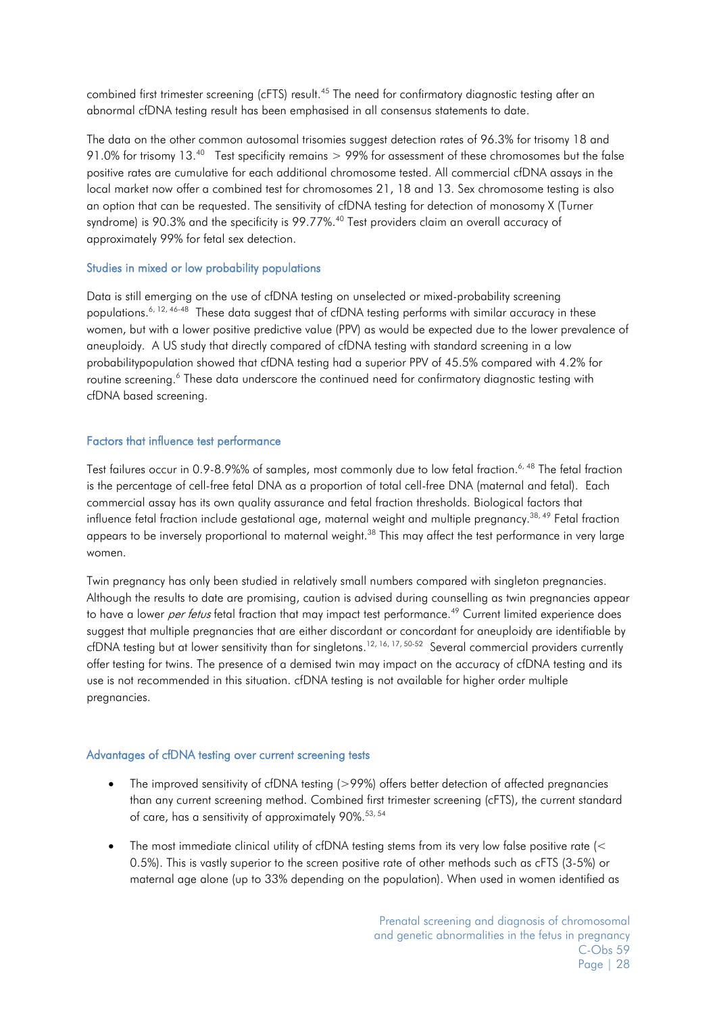combined first trimester screening (cFTS) result.<sup>45</sup> The need for confirmatory diagnostic testing after an abnormal cfDNA testing result has been emphasised in all consensus statements to date.

The data on the other common autosomal trisomies suggest detection rates of 96.3% for trisomy 18 and 91.0% for trisomy 13[.40](#page-19-15) Test specificity remains > 99% for assessment of these chromosomes but the false positive rates are cumulative for each additional chromosome tested. All commercial cfDNA assays in the local market now offer a combined test for chromosomes 21, 18 and 13. Sex chromosome testing is also an option that can be requested. The sensitivity of cfDNA testing for detection of monosomy X (Turner syndrome) is 90.3% and the specificity is 99.77%.<sup>40</sup> Test providers claim an overall accuracy of approximately 99% for fetal sex detection.

#### Studies in mixed or low probability populations

Data is still emerging on the use of cfDNA testing on unselected or mixed-probability screening populations.<sup>6, [12,](#page-18-12) 46-48</sup> These data suggest that of cfDNA testing performs with similar accuracy in these women, but with a lower positive predictive value (PPV) as would be expected due to the lower prevalence of aneuploidy. A US study that directly compared of cfDNA testing with standard screening in a low probabilitypopulation showed that cfDNA testing had a superior PPV of 45.5% compared with 4.2% for routine screening.<sup>6</sup> These data underscore the continued need for confirmatory diagnostic testing with cfDNA based screening.

#### Factors that influence test performance

Test failures occur in 0.9-8.9%% of samples, most commonly due to low fetal fraction.<sup>6, [48](#page-20-2)</sup> The fetal fraction is the percentage of cell-free fetal DNA as a proportion of total cell-free DNA (maternal and fetal). Each commercial assay has its own quality assurance and fetal fraction thresholds. Biological factors that influence fetal fraction include gestational age, maternal weight and multiple pregnancy[.38,](#page-19-13) [49](#page-20-3) Fetal fraction appears to be inversely proportional to maternal weight.<sup>38</sup> This may affect the test performance in very large women.

Twin pregnancy has only been studied in relatively small numbers compared with singleton pregnancies. Although the results to date are promising, caution is advised during counselling as twin pregnancies appear to have a lower *per fetus* fetal fraction that may impact test performance.<sup>49</sup> Current limited experience does suggest that multiple pregnancies that are either discordant or concordant for aneuploidy are identifiable by cfDNA testing but at lower sensitivity than for singletons.<sup>[12,](#page-18-12) [16,](#page-18-16) [17,](#page-18-17) [50-52](#page-20-4)</sup> Several commercial providers currently offer testing for twins. The presence of a demised twin may impact on the accuracy of cfDNA testing and its use is not recommended in this situation. cfDNA testing is not available for higher order multiple pregnancies.

#### Advantages of cfDNA testing over current screening tests

- The improved sensitivity of cfDNA testing (>99%) offers better detection of affected pregnancies than any current screening method. Combined first trimester screening (cFTS), the current standard of care, has a sensitivity of approximately 90%[.53,](#page-20-5) [54](#page-20-6)
- The most immediate clinical utility of cfDNA testing stems from its very low false positive rate (< 0.5%). This is vastly superior to the screen positive rate of other methods such as cFTS (3-5%) or maternal age alone (up to 33% depending on the population). When used in women identified as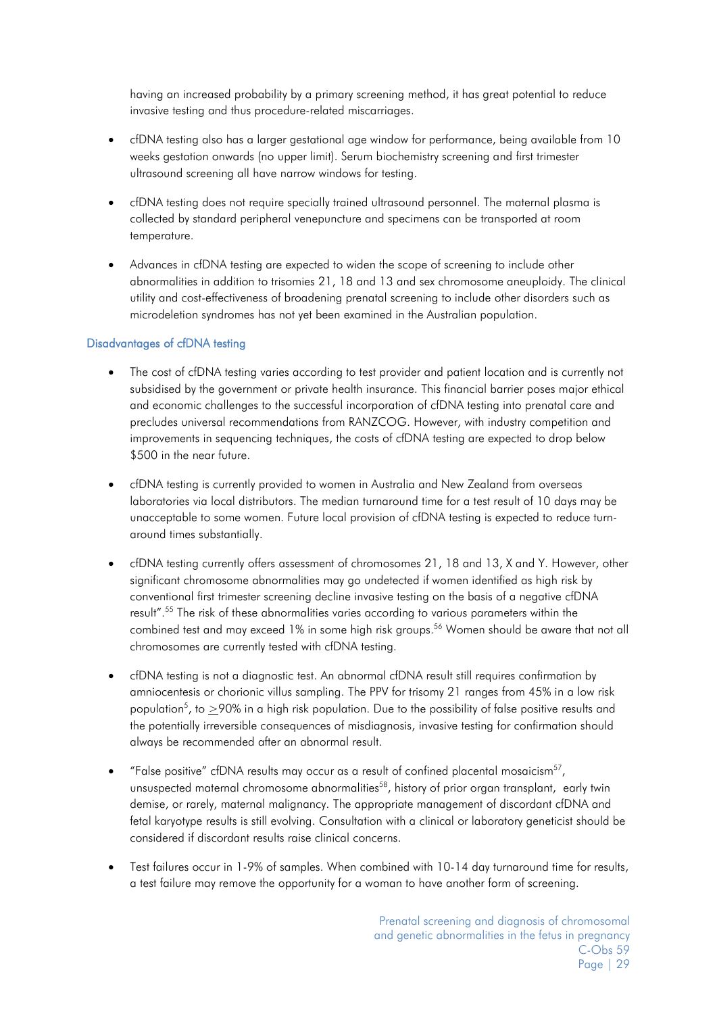having an increased probability by a primary screening method, it has great potential to reduce invasive testing and thus procedure-related miscarriages.

- cfDNA testing also has a larger gestational age window for performance, being available from 10 weeks gestation onwards (no upper limit). Serum biochemistry screening and first trimester ultrasound screening all have narrow windows for testing.
- cfDNA testing does not require specially trained ultrasound personnel. The maternal plasma is collected by standard peripheral venepuncture and specimens can be transported at room temperature.
- Advances in cfDNA testing are expected to widen the scope of screening to include other abnormalities in addition to trisomies 21, 18 and 13 and sex chromosome aneuploidy. The clinical utility and cost-effectiveness of broadening prenatal screening to include other disorders such as microdeletion syndromes has not yet been examined in the Australian population.

#### Disadvantages of cfDNA testing

- The cost of cfDNA testing varies according to test provider and patient location and is currently not subsidised by the government or private health insurance. This financial barrier poses major ethical and economic challenges to the successful incorporation of cfDNA testing into prenatal care and precludes universal recommendations from RANZCOG. However, with industry competition and improvements in sequencing techniques, the costs of cfDNA testing are expected to drop below \$500 in the near future.
- cfDNA testing is currently provided to women in Australia and New Zealand from overseas laboratories via local distributors. The median turnaround time for a test result of 10 days may be unacceptable to some women. Future local provision of cfDNA testing is expected to reduce turnaround times substantially.
- cfDNA testing currently offers assessment of chromosomes 21, 18 and 13, X and Y. However, other significant chromosome abnormalities may go undetected if women identified as high risk by conventional first trimester screening decline invasive testing on the basis of a negative cfDNA result". [55](#page-20-7) The risk of these abnormalities varies according to various parameters within the combined test and may exceed 1% in some high risk groups.<sup>56</sup> Women should be aware that not all chromosomes are currently tested with cfDNA testing.
- cfDNA testing is not a diagnostic test. An abnormal cfDNA result still requires confirmation by amniocentesis or chorionic villus sampling. The PPV for trisomy 21 ranges from 45% in a low risk population<sup>5</sup>, to  $\geq$ 90% in a high risk population. Due to the possibility of false positive results and the potentially irreversible consequences of misdiagnosis, invasive testing for confirmation should always be recommended after an abnormal result.
- "False positive" cfDNA results may occur as a result of confined placental mosaicis[m57,](#page-20-9) unsuspected maternal chromosome abnormalities<sup>58</sup>, history of prior organ transplant, early twin demise, or rarely, maternal malignancy. The appropriate management of discordant cfDNA and fetal karyotype results is still evolving. Consultation with a clinical or laboratory geneticist should be considered if discordant results raise clinical concerns.
- Test failures occur in 1-9% of samples. When combined with 10-14 day turnaround time for results, a test failure may remove the opportunity for a woman to have another form of screening.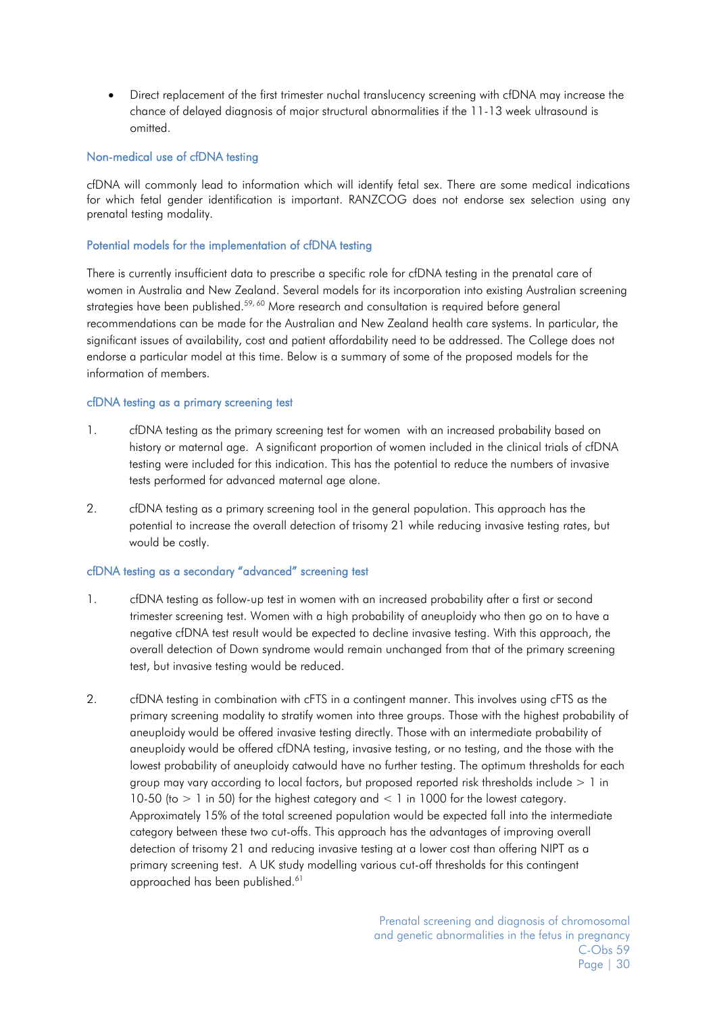• Direct replacement of the first trimester nuchal translucency screening with cfDNA may increase the chance of delayed diagnosis of major structural abnormalities if the 11-13 week ultrasound is omitted.

#### Non-medical use of cfDNA testing

cfDNA will commonly lead to information which will identify fetal sex. There are some medical indications for which fetal gender identification is important. RANZCOG does not endorse sex selection using any prenatal testing modality.

#### Potential models for the implementation of cfDNA testing

There is currently insufficient data to prescribe a specific role for cfDNA testing in the prenatal care of women in Australia and New Zealand. Several models for its incorporation into existing Australian screening strategies have been published.<sup>[59,](#page-20-11) [60](#page-20-12)</sup> More research and consultation is required before general recommendations can be made for the Australian and New Zealand health care systems. In particular, the significant issues of availability, cost and patient affordability need to be addressed. The College does not endorse a particular model at this time. Below is a summary of some of the proposed models for the information of members.

#### cfDNA testing as a primary screening test

- 1. cfDNA testing as the primary screening test for women with an increased probability based on history or maternal age. A significant proportion of women included in the clinical trials of cfDNA testing were included for this indication. This has the potential to reduce the numbers of invasive tests performed for advanced maternal age alone.
- 2. cfDNA testing as a primary screening tool in the general population. This approach has the potential to increase the overall detection of trisomy 21 while reducing invasive testing rates, but would be costly.

#### cfDNA testing as a secondary "advanced" screening test

- 1. cfDNA testing as follow-up test in women with an increased probability after a first or second trimester screening test. Women with a high probability of aneuploidy who then go on to have a negative cfDNA test result would be expected to decline invasive testing. With this approach, the overall detection of Down syndrome would remain unchanged from that of the primary screening test, but invasive testing would be reduced.
- 2. cfDNA testing in combination with cFTS in a contingent manner. This involves using cFTS as the primary screening modality to stratify women into three groups. Those with the highest probability of aneuploidy would be offered invasive testing directly. Those with an intermediate probability of aneuploidy would be offered cfDNA testing, invasive testing, or no testing, and the those with the lowest probability of aneuploidy catwould have no further testing. The optimum thresholds for each group may vary according to local factors, but proposed reported risk thresholds include > 1 in 10-50 (to  $> 1$  in 50) for the highest category and  $< 1$  in 1000 for the lowest category. Approximately 15% of the total screened population would be expected fall into the intermediate category between these two cut-offs. This approach has the advantages of improving overall detection of trisomy 21 and reducing invasive testing at a lower cost than offering NIPT as a primary screening test. A UK study modelling various cut-off thresholds for this contingent approached has been published.<sup>61</sup>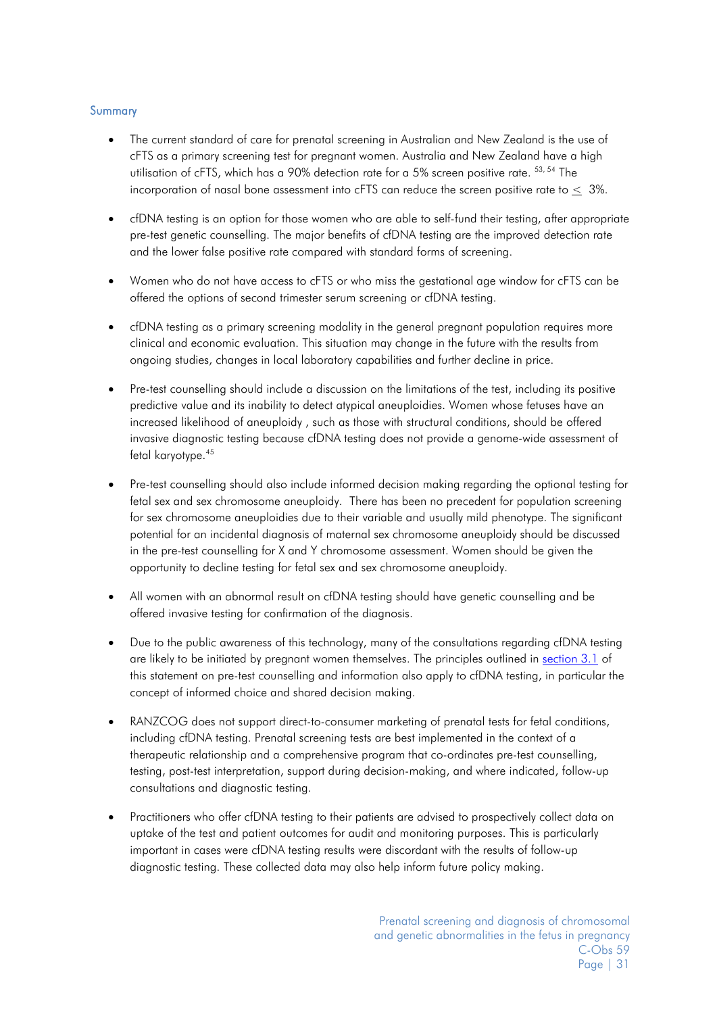#### **Summary**

- The current standard of care for prenatal screening in Australian and New Zealand is the use of cFTS as a primary screening test for pregnant women. Australia and New Zealand have a high utilisation of cFTS, which has a 90% detection rate for a 5% screen positive rate. [53,](#page-20-5) [54](#page-20-6) The incorporation of nasal bone assessment into cFTS can reduce the screen positive rate to  $<$  3%.
- cfDNA testing is an option for those women who are able to self-fund their testing, after appropriate pre-test genetic counselling. The major benefits of cfDNA testing are the improved detection rate and the lower false positive rate compared with standard forms of screening.
- Women who do not have access to cFTS or who miss the gestational age window for cFTS can be offered the options of second trimester serum screening or cfDNA testing.
- cfDNA testing as a primary screening modality in the general pregnant population requires more clinical and economic evaluation. This situation may change in the future with the results from ongoing studies, changes in local laboratory capabilities and further decline in price.
- Pre-test counselling should include a discussion on the limitations of the test, including its positive predictive value and its inability to detect atypical aneuploidies. Women whose fetuses have an increased likelihood of aneuploidy , such as those with structural conditions, should be offered invasive diagnostic testing because cfDNA testing does not provide a genome-wide assessment of fetal karyotype.<sup>45</sup>
- Pre-test counselling should also include informed decision making regarding the optional testing for fetal sex and sex chromosome aneuploidy. There has been no precedent for population screening for sex chromosome aneuploidies due to their variable and usually mild phenotype. The significant potential for an incidental diagnosis of maternal sex chromosome aneuploidy should be discussed in the pre-test counselling for X and Y chromosome assessment. Women should be given the opportunity to decline testing for fetal sex and sex chromosome aneuploidy.
- All women with an abnormal result on cfDNA testing should have genetic counselling and be offered invasive testing for confirmation of the diagnosis.
- Due to the public awareness of this technology, many of the consultations regarding cfDNA testing are likely to be initiated by pregnant women themselves. The principles outlined in [section](#page-6-1) 3.1 of this statement on pre-test counselling and information also apply to cfDNA testing, in particular the concept of informed choice and shared decision making.
- RANZCOG does not support direct-to-consumer marketing of prenatal tests for fetal conditions, including cfDNA testing. Prenatal screening tests are best implemented in the context of a therapeutic relationship and a comprehensive program that co-ordinates pre-test counselling, testing, post-test interpretation, support during decision-making, and where indicated, follow-up consultations and diagnostic testing.
- Practitioners who offer cfDNA testing to their patients are advised to prospectively collect data on uptake of the test and patient outcomes for audit and monitoring purposes. This is particularly important in cases were cfDNA testing results were discordant with the results of follow-up diagnostic testing. These collected data may also help inform future policy making.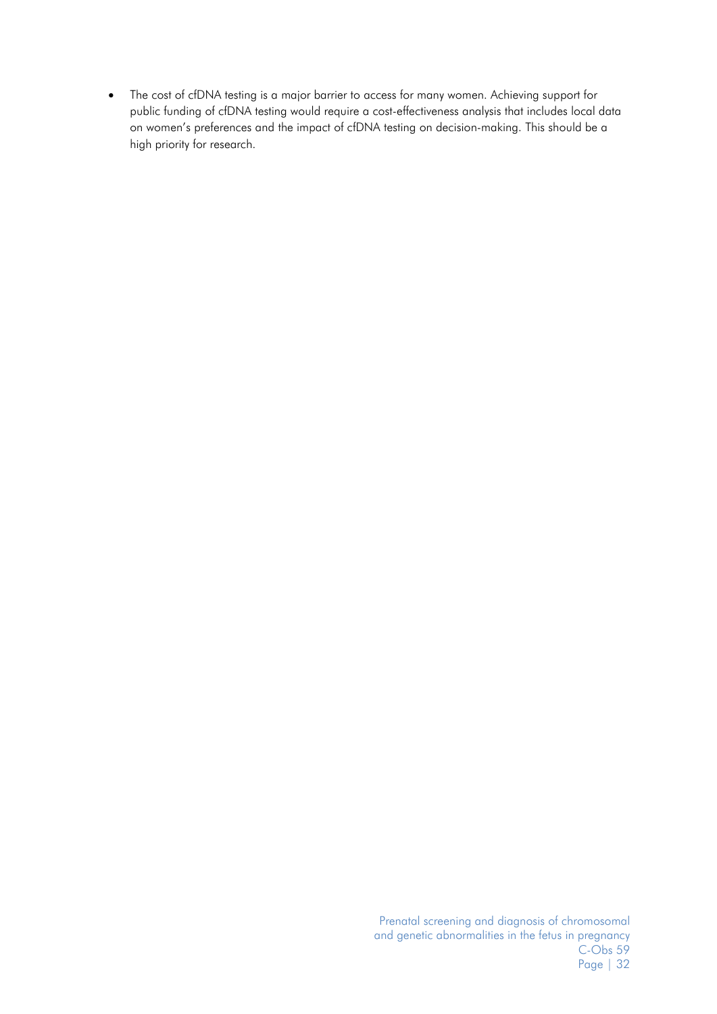• The cost of cfDNA testing is a major barrier to access for many women. Achieving support for public funding of cfDNA testing would require a cost-effectiveness analysis that includes local data on women's preferences and the impact of cfDNA testing on decision-making. This should be a high priority for research.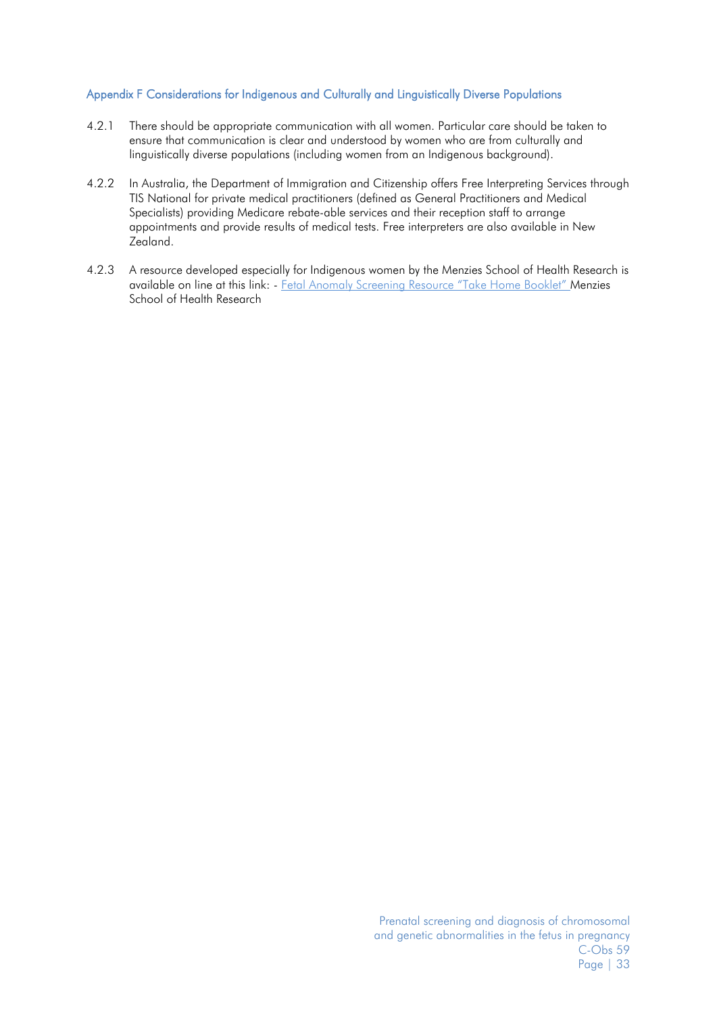#### <span id="page-32-0"></span>Appendix F Considerations for Indigenous and Culturally and Linguistically Diverse Populations

- 4.2.1 There should be appropriate communication with all women. Particular care should be taken to ensure that communication is clear and understood by women who are from culturally and linguistically diverse populations (including women from an Indigenous background).
- 4.2.2 In Australia, the Department of Immigration and Citizenship offers [Free Interpreting Services through](http://www.immi.gov.au/living-in-australia/help-with-english/help_with_translating/free-services.htm)  [TIS National](http://www.immi.gov.au/living-in-australia/help-with-english/help_with_translating/free-services.htm) for private medical practitioners (defined as General Practitioners and Medical Specialists) providing Medicare rebate-able services and their reception staff to arrange appointments and provide results of medical tests. Free interpreters are also available in New Zealand.
- <span id="page-32-1"></span>4.2.3 A resource developed especially for Indigenous women by the Menzies School of Health Research is available on line at this link: - [Fetal Anomaly Screening Resource "Take Home Booklet" Menzies](http://www.menzies.edu.au/icms_docs/161962_Checking_for_problems_with_the_baby_in_early_pregnancy_2010_Flipchart.pdf)  [School of Health Research](http://www.menzies.edu.au/icms_docs/161962_Checking_for_problems_with_the_baby_in_early_pregnancy_2010_Flipchart.pdf)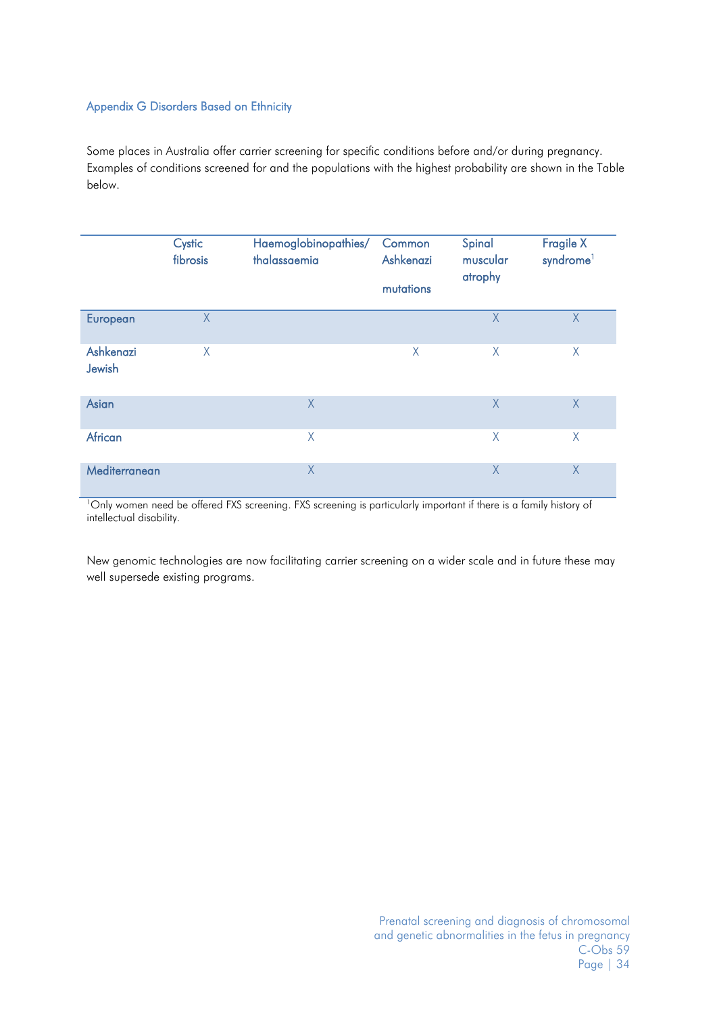#### <span id="page-33-0"></span>Appendix G Disorders Based on Ethnicity

Some places in Australia offer carrier screening for specific conditions before and/or during pregnancy. Examples of conditions screened for and the populations with the highest probability are shown in the Table below.

|                     | Cystic<br>fibrosis | Haemoglobinopathies/<br>thalassaemia | Common<br>Ashkenazi<br>mutations | Spinal<br>muscular<br>atrophy | <b>Fragile X</b><br>syndrome <sup>1</sup> |
|---------------------|--------------------|--------------------------------------|----------------------------------|-------------------------------|-------------------------------------------|
|                     |                    |                                      |                                  |                               |                                           |
| European            | $\sf X$            |                                      |                                  | $\chi$                        | X                                         |
| Ashkenazi<br>Jewish | X                  |                                      | $\times$                         | $\sf X$                       | X                                         |
| Asian               |                    | X                                    |                                  | $\chi$                        | X                                         |
| African             |                    | $\chi$                               |                                  | $\chi$                        | X                                         |
| Mediterranean       |                    | $\chi$                               |                                  | X                             | $\times$                                  |

<sup>1</sup>Only women need be offered FXS screening. FXS screening is particularly important if there is a family history of intellectual disability.

New genomic technologies are now facilitating carrier screening on a wider scale and in future these may well supersede existing programs.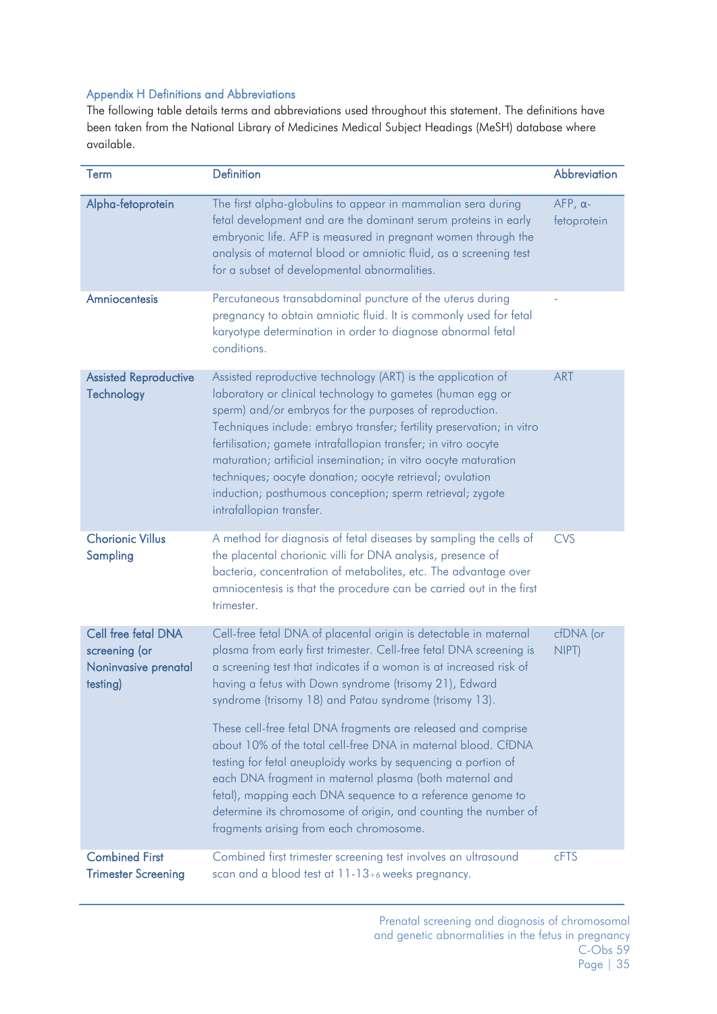### <span id="page-34-0"></span>Appendix H Definitions and Abbreviations

The following table details terms and abbreviations used throughout this statement. The definitions have been taken from the National Library of Medicines Medical Subject Headings (MeSH) database where available.

| Term                                                                     | <b>Definition</b>                                                                                                                                                                                                                                                                                                                                                                                                                                                                                                                                                                                                                                                                                                                                                           | Abbreviation                   |
|--------------------------------------------------------------------------|-----------------------------------------------------------------------------------------------------------------------------------------------------------------------------------------------------------------------------------------------------------------------------------------------------------------------------------------------------------------------------------------------------------------------------------------------------------------------------------------------------------------------------------------------------------------------------------------------------------------------------------------------------------------------------------------------------------------------------------------------------------------------------|--------------------------------|
| Alpha-fetoprotein                                                        | The first alpha-globulins to appear in mammalian sera during<br>fetal development and are the dominant serum proteins in early<br>embryonic life. AFP is measured in pregnant women through the<br>analysis of maternal blood or amniotic fluid, as a screening test<br>for a subset of developmental abnormalities.                                                                                                                                                                                                                                                                                                                                                                                                                                                        | $AFP, \alpha$ -<br>fetoprotein |
| Amniocentesis                                                            | Percutaneous transabdominal puncture of the uterus during<br>pregnancy to obtain amniotic fluid. It is commonly used for fetal<br>karyotype determination in order to diagnose abnormal fetal<br>conditions.                                                                                                                                                                                                                                                                                                                                                                                                                                                                                                                                                                |                                |
| <b>Assisted Reproductive</b><br>Technology                               | Assisted reproductive technology (ART) is the application of<br>laboratory or clinical technology to gametes (human egg or<br>sperm) and/or embryos for the purposes of reproduction.<br>Techniques include: embryo transfer; fertility preservation; in vitro<br>fertilisation; gamete intrafallopian transfer; in vitro oocyte<br>maturation; artificial insemination; in vitro oocyte maturation<br>techniques; oocyte donation; oocyte retrieval; ovulation<br>induction; posthumous conception; sperm retrieval; zygote<br>intrafallopian transfer.                                                                                                                                                                                                                    | <b>ART</b>                     |
| <b>Chorionic Villus</b><br>Sampling                                      | A method for diagnosis of fetal diseases by sampling the cells of<br>the placental chorionic villi for DNA analysis, presence of<br>bacteria, concentration of metabolites, etc. The advantage over<br>amniocentesis is that the procedure can be carried out in the first<br>trimester.                                                                                                                                                                                                                                                                                                                                                                                                                                                                                    | <b>CVS</b>                     |
| Cell free fetal DNA<br>screening (or<br>Noninvasive prenatal<br>testing) | Cell-free fetal DNA of placental origin is detectable in maternal<br>plasma from early first trimester. Cell-free fetal DNA screening is<br>a screening test that indicates if a woman is at increased risk of<br>having a fetus with Down syndrome (trisomy 21), Edward<br>syndrome (trisomy 18) and Patau syndrome (trisomy 13).<br>These cell-free fetal DNA fragments are released and comprise<br>about 10% of the total cell-free DNA in maternal blood. CfDNA<br>testing for fetal aneuploidy works by sequencing a portion of<br>each DNA fragment in maternal plasma (both maternal and<br>fetal), mapping each DNA sequence to a reference genome to<br>determine its chromosome of origin, and counting the number of<br>fragments arising from each chromosome. | cfDNA (or<br>NIPT)             |
| <b>Combined First</b><br><b>Trimester Screening</b>                      | Combined first trimester screening test involves an ultrasound<br>scan and a blood test at 11-13+6 weeks pregnancy.                                                                                                                                                                                                                                                                                                                                                                                                                                                                                                                                                                                                                                                         | cFTS                           |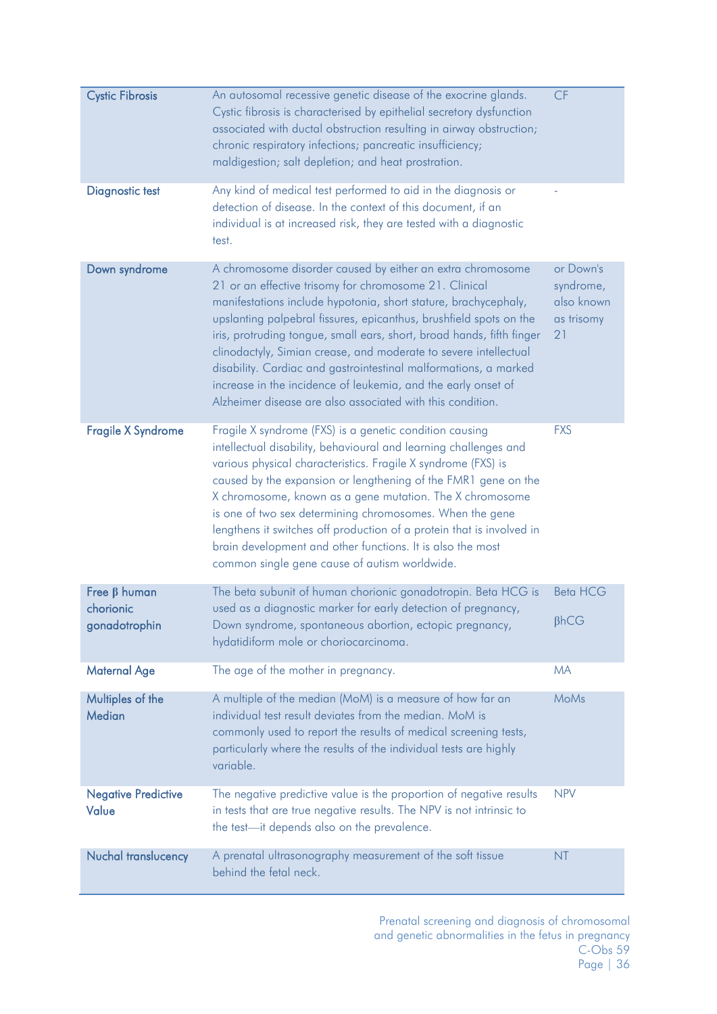| <b>Cystic Fibrosis</b>                           | An autosomal recessive genetic disease of the exocrine glands.<br>Cystic fibrosis is characterised by epithelial secretory dysfunction<br>associated with ductal obstruction resulting in airway obstruction;<br>chronic respiratory infections; pancreatic insufficiency;<br>maldigestion; salt depletion; and heat prostration.                                                                                                                                                                                                                                                                             | CF                                                       |
|--------------------------------------------------|---------------------------------------------------------------------------------------------------------------------------------------------------------------------------------------------------------------------------------------------------------------------------------------------------------------------------------------------------------------------------------------------------------------------------------------------------------------------------------------------------------------------------------------------------------------------------------------------------------------|----------------------------------------------------------|
| <b>Diagnostic test</b>                           | Any kind of medical test performed to aid in the diagnosis or<br>detection of disease. In the context of this document, if an<br>individual is at increased risk, they are tested with a diagnostic<br>test.                                                                                                                                                                                                                                                                                                                                                                                                  |                                                          |
| Down syndrome                                    | A chromosome disorder caused by either an extra chromosome<br>21 or an effective trisomy for chromosome 21. Clinical<br>manifestations include hypotonia, short stature, brachycephaly,<br>upslanting palpebral fissures, epicanthus, brushfield spots on the<br>iris, protruding tongue, small ears, short, broad hands, fifth finger<br>clinodactyly, Simian crease, and moderate to severe intellectual<br>disability. Cardiac and gastrointestinal malformations, a marked<br>increase in the incidence of leukemia, and the early onset of<br>Alzheimer disease are also associated with this condition. | or Down's<br>syndrome,<br>also known<br>as trisomy<br>21 |
| <b>Fragile X Syndrome</b>                        | Fragile X syndrome (FXS) is a genetic condition causing<br>intellectual disability, behavioural and learning challenges and<br>various physical characteristics. Fragile X syndrome (FXS) is<br>caused by the expansion or lengthening of the FMR1 gene on the<br>X chromosome, known as a gene mutation. The X chromosome<br>is one of two sex determining chromosomes. When the gene<br>lengthens it switches off production of a protein that is involved in<br>brain development and other functions. It is also the most<br>common single gene cause of autism worldwide.                                | <b>FXS</b>                                               |
| Free $\beta$ human<br>chorionic<br>gonadotrophin | The beta subunit of human chorionic gonadotropin. Beta HCG is<br>used as a diagnostic marker for early detection of pregnancy,<br>Down syndrome, spontaneous abortion, ectopic pregnancy,<br>hydatidiform mole or choriocarcinoma.                                                                                                                                                                                                                                                                                                                                                                            | <b>Beta HCG</b><br>$\beta$ <sub>h</sub> C <sub>G</sub>   |
| <b>Maternal Age</b>                              | The age of the mother in pregnancy.                                                                                                                                                                                                                                                                                                                                                                                                                                                                                                                                                                           | <b>MA</b>                                                |
| Multiples of the<br><b>Median</b>                | A multiple of the median (MoM) is a measure of how far an<br>individual test result deviates from the median. MoM is<br>commonly used to report the results of medical screening tests,<br>particularly where the results of the individual tests are highly<br>variable.                                                                                                                                                                                                                                                                                                                                     | <b>MoMs</b>                                              |
| <b>Negative Predictive</b><br>Value              | The negative predictive value is the proportion of negative results<br>in tests that are true negative results. The NPV is not intrinsic to<br>the test-it depends also on the prevalence.                                                                                                                                                                                                                                                                                                                                                                                                                    | <b>NPV</b>                                               |
| Nuchal translucency                              | A prenatal ultrasonography measurement of the soft tissue<br>behind the fetal neck.                                                                                                                                                                                                                                                                                                                                                                                                                                                                                                                           | <b>NT</b>                                                |

Prenatal screening and diagnosis of chromosomal and genetic abnormalities in the fetus in pregnancy C-Obs 59 Page | 36